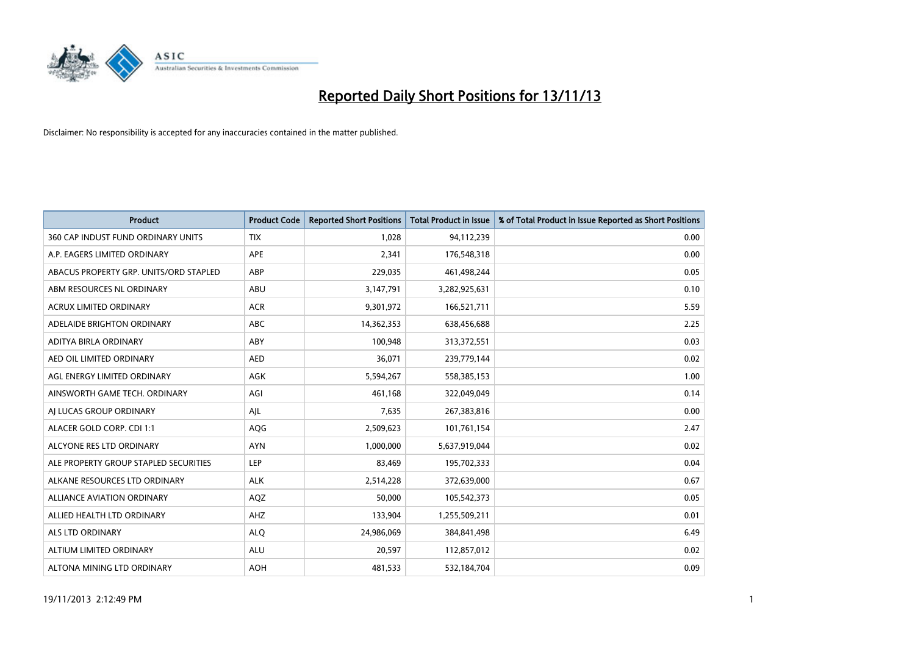

| <b>Product</b>                         | <b>Product Code</b> | <b>Reported Short Positions</b> | <b>Total Product in Issue</b> | % of Total Product in Issue Reported as Short Positions |
|----------------------------------------|---------------------|---------------------------------|-------------------------------|---------------------------------------------------------|
| 360 CAP INDUST FUND ORDINARY UNITS     | <b>TIX</b>          | 1,028                           | 94,112,239                    | 0.00                                                    |
| A.P. EAGERS LIMITED ORDINARY           | APE                 | 2,341                           | 176,548,318                   | 0.00                                                    |
| ABACUS PROPERTY GRP. UNITS/ORD STAPLED | ABP                 | 229,035                         | 461,498,244                   | 0.05                                                    |
| ABM RESOURCES NL ORDINARY              | ABU                 | 3,147,791                       | 3,282,925,631                 | 0.10                                                    |
| <b>ACRUX LIMITED ORDINARY</b>          | <b>ACR</b>          | 9,301,972                       | 166,521,711                   | 5.59                                                    |
| ADELAIDE BRIGHTON ORDINARY             | ABC                 | 14,362,353                      | 638,456,688                   | 2.25                                                    |
| ADITYA BIRLA ORDINARY                  | ABY                 | 100,948                         | 313,372,551                   | 0.03                                                    |
| AED OIL LIMITED ORDINARY               | <b>AED</b>          | 36,071                          | 239,779,144                   | 0.02                                                    |
| AGL ENERGY LIMITED ORDINARY            | <b>AGK</b>          | 5,594,267                       | 558,385,153                   | 1.00                                                    |
| AINSWORTH GAME TECH. ORDINARY          | AGI                 | 461,168                         | 322,049,049                   | 0.14                                                    |
| AJ LUCAS GROUP ORDINARY                | AJL                 | 7,635                           | 267,383,816                   | 0.00                                                    |
| ALACER GOLD CORP. CDI 1:1              | AQG                 | 2,509,623                       | 101,761,154                   | 2.47                                                    |
| ALCYONE RES LTD ORDINARY               | <b>AYN</b>          | 1,000,000                       | 5,637,919,044                 | 0.02                                                    |
| ALE PROPERTY GROUP STAPLED SECURITIES  | LEP                 | 83,469                          | 195,702,333                   | 0.04                                                    |
| ALKANE RESOURCES LTD ORDINARY          | <b>ALK</b>          | 2,514,228                       | 372,639,000                   | 0.67                                                    |
| ALLIANCE AVIATION ORDINARY             | AQZ                 | 50,000                          | 105,542,373                   | 0.05                                                    |
| ALLIED HEALTH LTD ORDINARY             | AHZ                 | 133,904                         | 1,255,509,211                 | 0.01                                                    |
| ALS LTD ORDINARY                       | <b>ALQ</b>          | 24,986,069                      | 384,841,498                   | 6.49                                                    |
| ALTIUM LIMITED ORDINARY                | <b>ALU</b>          | 20,597                          | 112,857,012                   | 0.02                                                    |
| ALTONA MINING LTD ORDINARY             | <b>AOH</b>          | 481,533                         | 532,184,704                   | 0.09                                                    |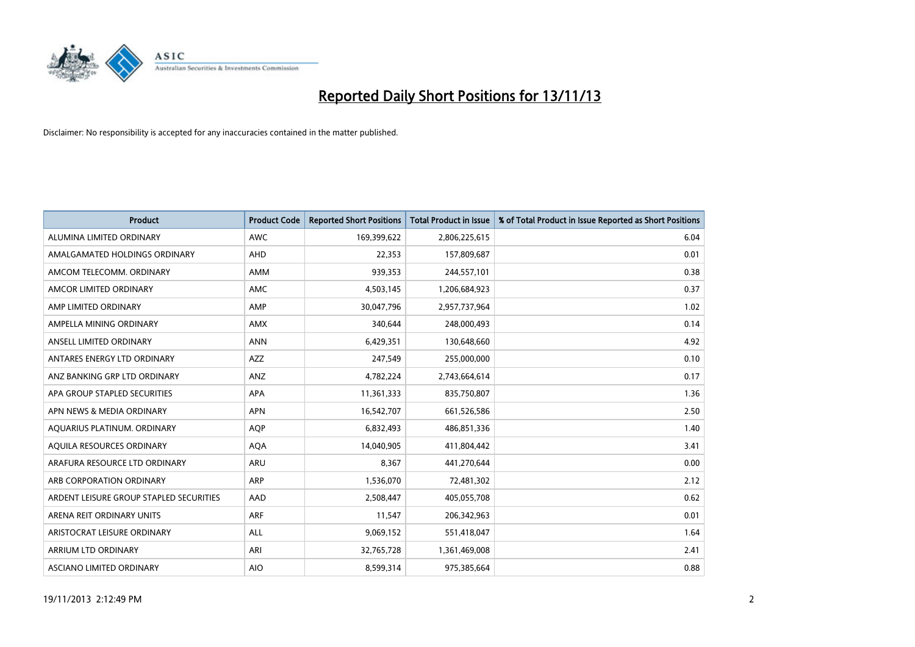

| <b>Product</b>                          | <b>Product Code</b> | <b>Reported Short Positions</b> | <b>Total Product in Issue</b> | % of Total Product in Issue Reported as Short Positions |
|-----------------------------------------|---------------------|---------------------------------|-------------------------------|---------------------------------------------------------|
| ALUMINA LIMITED ORDINARY                | <b>AWC</b>          | 169,399,622                     | 2,806,225,615                 | 6.04                                                    |
| AMALGAMATED HOLDINGS ORDINARY           | AHD                 | 22,353                          | 157,809,687                   | 0.01                                                    |
| AMCOM TELECOMM. ORDINARY                | AMM                 | 939,353                         | 244,557,101                   | 0.38                                                    |
| AMCOR LIMITED ORDINARY                  | AMC                 | 4,503,145                       | 1,206,684,923                 | 0.37                                                    |
| AMP LIMITED ORDINARY                    | AMP                 | 30,047,796                      | 2,957,737,964                 | 1.02                                                    |
| AMPELLA MINING ORDINARY                 | <b>AMX</b>          | 340,644                         | 248,000,493                   | 0.14                                                    |
| ANSELL LIMITED ORDINARY                 | <b>ANN</b>          | 6,429,351                       | 130,648,660                   | 4.92                                                    |
| ANTARES ENERGY LTD ORDINARY             | AZZ                 | 247,549                         | 255,000,000                   | 0.10                                                    |
| ANZ BANKING GRP LTD ORDINARY            | ANZ                 | 4,782,224                       | 2,743,664,614                 | 0.17                                                    |
| APA GROUP STAPLED SECURITIES            | <b>APA</b>          | 11,361,333                      | 835,750,807                   | 1.36                                                    |
| APN NEWS & MEDIA ORDINARY               | <b>APN</b>          | 16,542,707                      | 661,526,586                   | 2.50                                                    |
| AQUARIUS PLATINUM. ORDINARY             | <b>AOP</b>          | 6,832,493                       | 486,851,336                   | 1.40                                                    |
| AQUILA RESOURCES ORDINARY               | <b>AQA</b>          | 14,040,905                      | 411,804,442                   | 3.41                                                    |
| ARAFURA RESOURCE LTD ORDINARY           | <b>ARU</b>          | 8,367                           | 441,270,644                   | 0.00                                                    |
| ARB CORPORATION ORDINARY                | <b>ARP</b>          | 1,536,070                       | 72,481,302                    | 2.12                                                    |
| ARDENT LEISURE GROUP STAPLED SECURITIES | AAD                 | 2,508,447                       | 405,055,708                   | 0.62                                                    |
| ARENA REIT ORDINARY UNITS               | <b>ARF</b>          | 11,547                          | 206,342,963                   | 0.01                                                    |
| ARISTOCRAT LEISURE ORDINARY             | ALL                 | 9,069,152                       | 551,418,047                   | 1.64                                                    |
| ARRIUM LTD ORDINARY                     | ARI                 | 32,765,728                      | 1,361,469,008                 | 2.41                                                    |
| ASCIANO LIMITED ORDINARY                | <b>AIO</b>          | 8,599,314                       | 975,385,664                   | 0.88                                                    |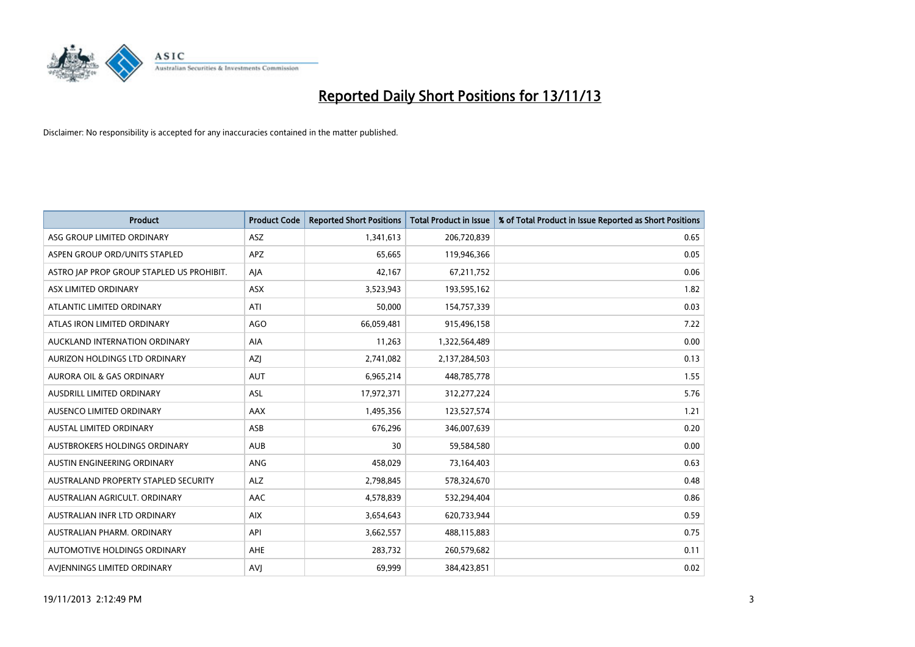

| <b>Product</b>                            | <b>Product Code</b> | <b>Reported Short Positions</b> | <b>Total Product in Issue</b> | % of Total Product in Issue Reported as Short Positions |
|-------------------------------------------|---------------------|---------------------------------|-------------------------------|---------------------------------------------------------|
| ASG GROUP LIMITED ORDINARY                | <b>ASZ</b>          | 1,341,613                       | 206,720,839                   | 0.65                                                    |
| ASPEN GROUP ORD/UNITS STAPLED             | <b>APZ</b>          | 65,665                          | 119,946,366                   | 0.05                                                    |
| ASTRO JAP PROP GROUP STAPLED US PROHIBIT. | AJA                 | 42,167                          | 67,211,752                    | 0.06                                                    |
| ASX LIMITED ORDINARY                      | ASX                 | 3,523,943                       | 193,595,162                   | 1.82                                                    |
| ATLANTIC LIMITED ORDINARY                 | ATI                 | 50,000                          | 154,757,339                   | 0.03                                                    |
| ATLAS IRON LIMITED ORDINARY               | <b>AGO</b>          | 66,059,481                      | 915,496,158                   | 7.22                                                    |
| AUCKLAND INTERNATION ORDINARY             | AIA                 | 11,263                          | 1,322,564,489                 | 0.00                                                    |
| AURIZON HOLDINGS LTD ORDINARY             | AZJ                 | 2,741,082                       | 2,137,284,503                 | 0.13                                                    |
| <b>AURORA OIL &amp; GAS ORDINARY</b>      | <b>AUT</b>          | 6,965,214                       | 448,785,778                   | 1.55                                                    |
| AUSDRILL LIMITED ORDINARY                 | ASL                 | 17,972,371                      | 312,277,224                   | 5.76                                                    |
| AUSENCO LIMITED ORDINARY                  | AAX                 | 1,495,356                       | 123,527,574                   | 1.21                                                    |
| <b>AUSTAL LIMITED ORDINARY</b>            | ASB                 | 676,296                         | 346,007,639                   | 0.20                                                    |
| AUSTBROKERS HOLDINGS ORDINARY             | <b>AUB</b>          | 30                              | 59,584,580                    | 0.00                                                    |
| AUSTIN ENGINEERING ORDINARY               | ANG                 | 458,029                         | 73,164,403                    | 0.63                                                    |
| AUSTRALAND PROPERTY STAPLED SECURITY      | <b>ALZ</b>          | 2,798,845                       | 578,324,670                   | 0.48                                                    |
| AUSTRALIAN AGRICULT. ORDINARY             | AAC                 | 4,578,839                       | 532,294,404                   | 0.86                                                    |
| AUSTRALIAN INFR LTD ORDINARY              | <b>AIX</b>          | 3,654,643                       | 620,733,944                   | 0.59                                                    |
| AUSTRALIAN PHARM. ORDINARY                | API                 | 3,662,557                       | 488,115,883                   | 0.75                                                    |
| AUTOMOTIVE HOLDINGS ORDINARY              | <b>AHE</b>          | 283,732                         | 260,579,682                   | 0.11                                                    |
| AVIENNINGS LIMITED ORDINARY               | <b>AVJ</b>          | 69,999                          | 384,423,851                   | 0.02                                                    |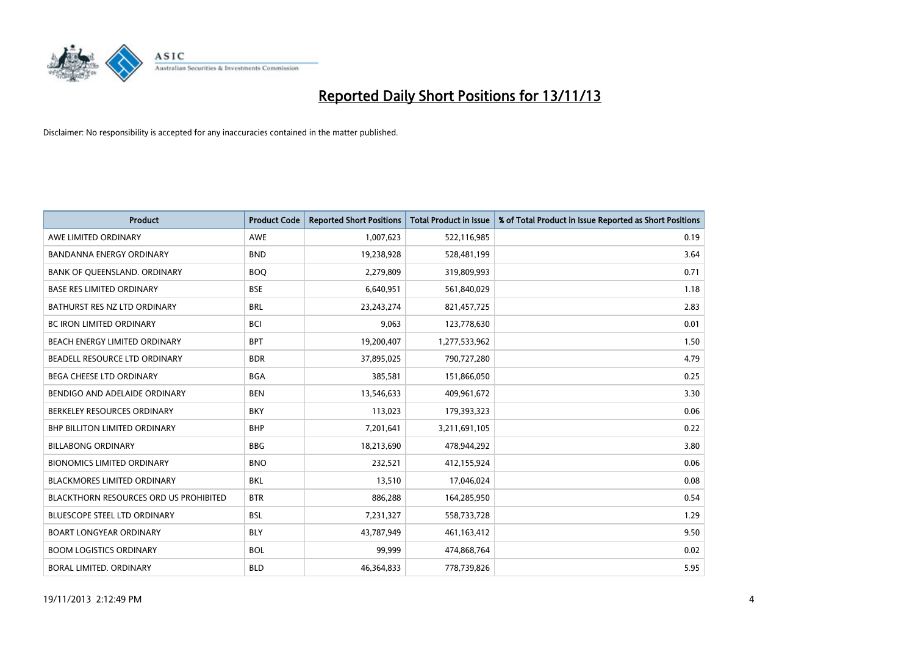

| <b>Product</b>                         | <b>Product Code</b> | <b>Reported Short Positions</b> | <b>Total Product in Issue</b> | % of Total Product in Issue Reported as Short Positions |
|----------------------------------------|---------------------|---------------------------------|-------------------------------|---------------------------------------------------------|
| AWE LIMITED ORDINARY                   | <b>AWE</b>          | 1,007,623                       | 522,116,985                   | 0.19                                                    |
| BANDANNA ENERGY ORDINARY               | <b>BND</b>          | 19,238,928                      | 528,481,199                   | 3.64                                                    |
| BANK OF QUEENSLAND. ORDINARY           | <b>BOQ</b>          | 2,279,809                       | 319,809,993                   | 0.71                                                    |
| <b>BASE RES LIMITED ORDINARY</b>       | <b>BSE</b>          | 6,640,951                       | 561,840,029                   | 1.18                                                    |
| BATHURST RES NZ LTD ORDINARY           | <b>BRL</b>          | 23,243,274                      | 821,457,725                   | 2.83                                                    |
| <b>BC IRON LIMITED ORDINARY</b>        | <b>BCI</b>          | 9,063                           | 123,778,630                   | 0.01                                                    |
| BEACH ENERGY LIMITED ORDINARY          | <b>BPT</b>          | 19,200,407                      | 1,277,533,962                 | 1.50                                                    |
| BEADELL RESOURCE LTD ORDINARY          | <b>BDR</b>          | 37,895,025                      | 790,727,280                   | 4.79                                                    |
| BEGA CHEESE LTD ORDINARY               | <b>BGA</b>          | 385,581                         | 151,866,050                   | 0.25                                                    |
| BENDIGO AND ADELAIDE ORDINARY          | <b>BEN</b>          | 13,546,633                      | 409,961,672                   | 3.30                                                    |
| BERKELEY RESOURCES ORDINARY            | <b>BKY</b>          | 113,023                         | 179,393,323                   | 0.06                                                    |
| <b>BHP BILLITON LIMITED ORDINARY</b>   | <b>BHP</b>          | 7,201,641                       | 3,211,691,105                 | 0.22                                                    |
| <b>BILLABONG ORDINARY</b>              | <b>BBG</b>          | 18,213,690                      | 478,944,292                   | 3.80                                                    |
| <b>BIONOMICS LIMITED ORDINARY</b>      | <b>BNO</b>          | 232,521                         | 412,155,924                   | 0.06                                                    |
| <b>BLACKMORES LIMITED ORDINARY</b>     | <b>BKL</b>          | 13,510                          | 17,046,024                    | 0.08                                                    |
| BLACKTHORN RESOURCES ORD US PROHIBITED | <b>BTR</b>          | 886,288                         | 164,285,950                   | 0.54                                                    |
| <b>BLUESCOPE STEEL LTD ORDINARY</b>    | <b>BSL</b>          | 7,231,327                       | 558,733,728                   | 1.29                                                    |
| <b>BOART LONGYEAR ORDINARY</b>         | <b>BLY</b>          | 43,787,949                      | 461,163,412                   | 9.50                                                    |
| <b>BOOM LOGISTICS ORDINARY</b>         | <b>BOL</b>          | 99.999                          | 474,868,764                   | 0.02                                                    |
| <b>BORAL LIMITED, ORDINARY</b>         | <b>BLD</b>          | 46,364,833                      | 778,739,826                   | 5.95                                                    |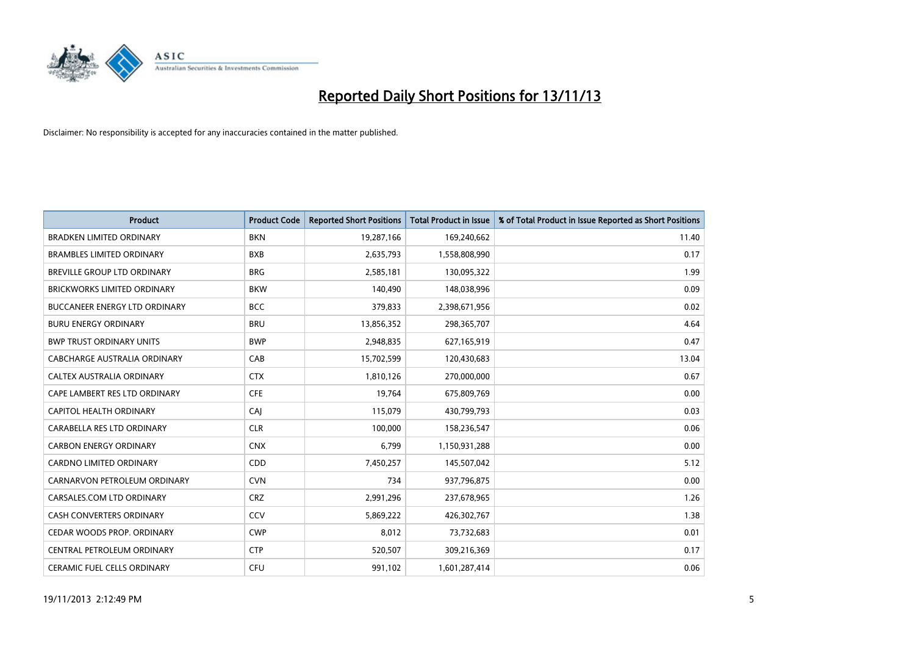

| <b>Product</b>                       | <b>Product Code</b> | <b>Reported Short Positions</b> | <b>Total Product in Issue</b> | % of Total Product in Issue Reported as Short Positions |
|--------------------------------------|---------------------|---------------------------------|-------------------------------|---------------------------------------------------------|
| <b>BRADKEN LIMITED ORDINARY</b>      | <b>BKN</b>          | 19,287,166                      | 169,240,662                   | 11.40                                                   |
| <b>BRAMBLES LIMITED ORDINARY</b>     | <b>BXB</b>          | 2,635,793                       | 1,558,808,990                 | 0.17                                                    |
| BREVILLE GROUP LTD ORDINARY          | <b>BRG</b>          | 2,585,181                       | 130,095,322                   | 1.99                                                    |
| BRICKWORKS LIMITED ORDINARY          | <b>BKW</b>          | 140,490                         | 148,038,996                   | 0.09                                                    |
| <b>BUCCANEER ENERGY LTD ORDINARY</b> | <b>BCC</b>          | 379,833                         | 2,398,671,956                 | 0.02                                                    |
| <b>BURU ENERGY ORDINARY</b>          | <b>BRU</b>          | 13,856,352                      | 298,365,707                   | 4.64                                                    |
| <b>BWP TRUST ORDINARY UNITS</b>      | <b>BWP</b>          | 2,948,835                       | 627,165,919                   | 0.47                                                    |
| <b>CABCHARGE AUSTRALIA ORDINARY</b>  | CAB                 | 15,702,599                      | 120,430,683                   | 13.04                                                   |
| CALTEX AUSTRALIA ORDINARY            | <b>CTX</b>          | 1,810,126                       | 270,000,000                   | 0.67                                                    |
| CAPE LAMBERT RES LTD ORDINARY        | <b>CFE</b>          | 19,764                          | 675,809,769                   | 0.00                                                    |
| <b>CAPITOL HEALTH ORDINARY</b>       | CAJ                 | 115,079                         | 430,799,793                   | 0.03                                                    |
| CARABELLA RES LTD ORDINARY           | <b>CLR</b>          | 100,000                         | 158,236,547                   | 0.06                                                    |
| <b>CARBON ENERGY ORDINARY</b>        | <b>CNX</b>          | 6,799                           | 1,150,931,288                 | 0.00                                                    |
| <b>CARDNO LIMITED ORDINARY</b>       | CDD                 | 7,450,257                       | 145,507,042                   | 5.12                                                    |
| CARNARVON PETROLEUM ORDINARY         | <b>CVN</b>          | 734                             | 937,796,875                   | 0.00                                                    |
| CARSALES.COM LTD ORDINARY            | <b>CRZ</b>          | 2,991,296                       | 237,678,965                   | 1.26                                                    |
| <b>CASH CONVERTERS ORDINARY</b>      | CCV                 | 5,869,222                       | 426,302,767                   | 1.38                                                    |
| CEDAR WOODS PROP. ORDINARY           | <b>CWP</b>          | 8,012                           | 73,732,683                    | 0.01                                                    |
| CENTRAL PETROLEUM ORDINARY           | <b>CTP</b>          | 520,507                         | 309,216,369                   | 0.17                                                    |
| <b>CERAMIC FUEL CELLS ORDINARY</b>   | <b>CFU</b>          | 991,102                         | 1,601,287,414                 | 0.06                                                    |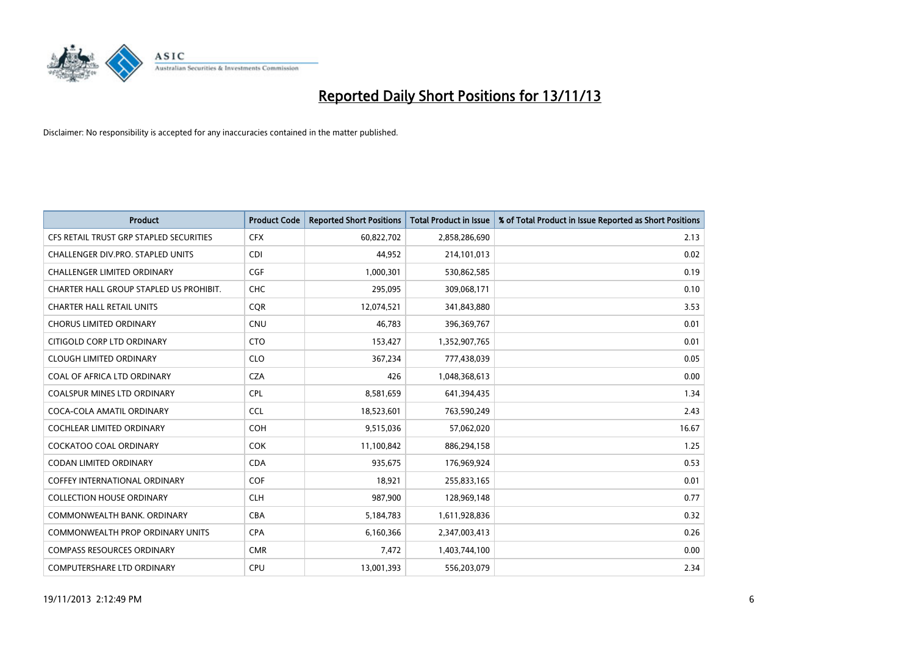

| <b>Product</b>                          | <b>Product Code</b> | <b>Reported Short Positions</b> | <b>Total Product in Issue</b> | % of Total Product in Issue Reported as Short Positions |
|-----------------------------------------|---------------------|---------------------------------|-------------------------------|---------------------------------------------------------|
| CFS RETAIL TRUST GRP STAPLED SECURITIES | <b>CFX</b>          | 60,822,702                      | 2,858,286,690                 | 2.13                                                    |
| CHALLENGER DIV.PRO. STAPLED UNITS       | <b>CDI</b>          | 44,952                          | 214,101,013                   | 0.02                                                    |
| CHALLENGER LIMITED ORDINARY             | <b>CGF</b>          | 1,000,301                       | 530,862,585                   | 0.19                                                    |
| CHARTER HALL GROUP STAPLED US PROHIBIT. | <b>CHC</b>          | 295,095                         | 309,068,171                   | 0.10                                                    |
| <b>CHARTER HALL RETAIL UNITS</b>        | <b>COR</b>          | 12,074,521                      | 341,843,880                   | 3.53                                                    |
| <b>CHORUS LIMITED ORDINARY</b>          | <b>CNU</b>          | 46,783                          | 396,369,767                   | 0.01                                                    |
| CITIGOLD CORP LTD ORDINARY              | <b>CTO</b>          | 153,427                         | 1,352,907,765                 | 0.01                                                    |
| <b>CLOUGH LIMITED ORDINARY</b>          | <b>CLO</b>          | 367,234                         | 777,438,039                   | 0.05                                                    |
| COAL OF AFRICA LTD ORDINARY             | <b>CZA</b>          | 426                             | 1,048,368,613                 | 0.00                                                    |
| <b>COALSPUR MINES LTD ORDINARY</b>      | <b>CPL</b>          | 8,581,659                       | 641,394,435                   | 1.34                                                    |
| COCA-COLA AMATIL ORDINARY               | <b>CCL</b>          | 18,523,601                      | 763,590,249                   | 2.43                                                    |
| <b>COCHLEAR LIMITED ORDINARY</b>        | <b>COH</b>          | 9,515,036                       | 57,062,020                    | 16.67                                                   |
| <b>COCKATOO COAL ORDINARY</b>           | <b>COK</b>          | 11,100,842                      | 886,294,158                   | 1.25                                                    |
| <b>CODAN LIMITED ORDINARY</b>           | <b>CDA</b>          | 935,675                         | 176,969,924                   | 0.53                                                    |
| COFFEY INTERNATIONAL ORDINARY           | <b>COF</b>          | 18,921                          | 255,833,165                   | 0.01                                                    |
| <b>COLLECTION HOUSE ORDINARY</b>        | <b>CLH</b>          | 987,900                         | 128,969,148                   | 0.77                                                    |
| COMMONWEALTH BANK, ORDINARY             | <b>CBA</b>          | 5,184,783                       | 1,611,928,836                 | 0.32                                                    |
| <b>COMMONWEALTH PROP ORDINARY UNITS</b> | <b>CPA</b>          | 6,160,366                       | 2,347,003,413                 | 0.26                                                    |
| <b>COMPASS RESOURCES ORDINARY</b>       | <b>CMR</b>          | 7,472                           | 1,403,744,100                 | 0.00                                                    |
| <b>COMPUTERSHARE LTD ORDINARY</b>       | <b>CPU</b>          | 13,001,393                      | 556,203,079                   | 2.34                                                    |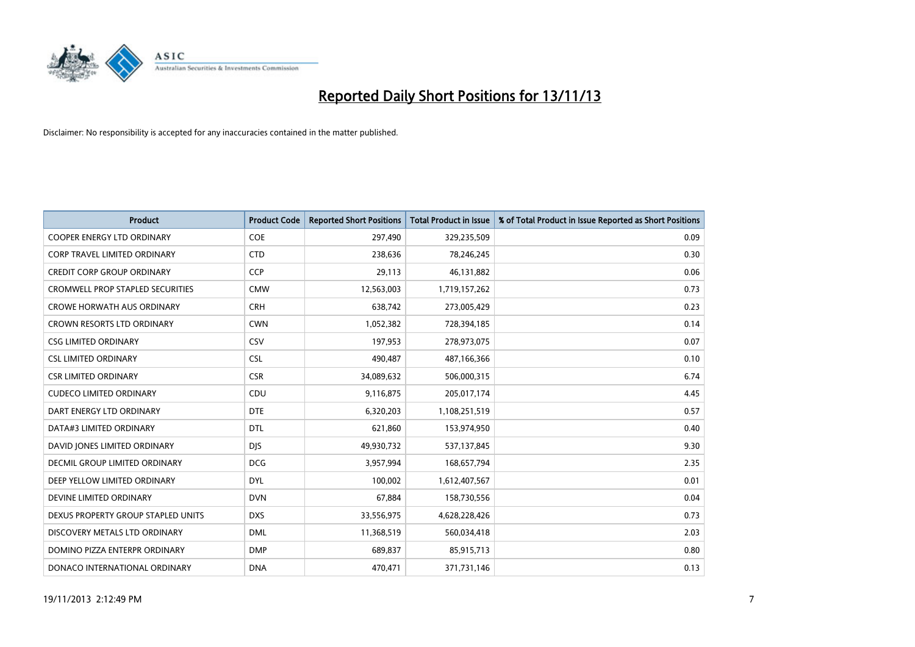

| <b>Product</b>                          | <b>Product Code</b> | <b>Reported Short Positions</b> | <b>Total Product in Issue</b> | % of Total Product in Issue Reported as Short Positions |
|-----------------------------------------|---------------------|---------------------------------|-------------------------------|---------------------------------------------------------|
| <b>COOPER ENERGY LTD ORDINARY</b>       | <b>COE</b>          | 297,490                         | 329,235,509                   | 0.09                                                    |
| CORP TRAVEL LIMITED ORDINARY            | <b>CTD</b>          | 238,636                         | 78,246,245                    | 0.30                                                    |
| <b>CREDIT CORP GROUP ORDINARY</b>       | <b>CCP</b>          | 29,113                          | 46,131,882                    | 0.06                                                    |
| <b>CROMWELL PROP STAPLED SECURITIES</b> | <b>CMW</b>          | 12,563,003                      | 1,719,157,262                 | 0.73                                                    |
| <b>CROWE HORWATH AUS ORDINARY</b>       | <b>CRH</b>          | 638,742                         | 273,005,429                   | 0.23                                                    |
| <b>CROWN RESORTS LTD ORDINARY</b>       | <b>CWN</b>          | 1,052,382                       | 728,394,185                   | 0.14                                                    |
| <b>CSG LIMITED ORDINARY</b>             | CSV                 | 197,953                         | 278,973,075                   | 0.07                                                    |
| <b>CSL LIMITED ORDINARY</b>             | <b>CSL</b>          | 490,487                         | 487,166,366                   | 0.10                                                    |
| <b>CSR LIMITED ORDINARY</b>             | <b>CSR</b>          | 34,089,632                      | 506,000,315                   | 6.74                                                    |
| <b>CUDECO LIMITED ORDINARY</b>          | CDU                 | 9,116,875                       | 205,017,174                   | 4.45                                                    |
| DART ENERGY LTD ORDINARY                | <b>DTE</b>          | 6,320,203                       | 1,108,251,519                 | 0.57                                                    |
| DATA#3 LIMITED ORDINARY                 | DTL                 | 621,860                         | 153,974,950                   | 0.40                                                    |
| DAVID JONES LIMITED ORDINARY            | <b>DJS</b>          | 49,930,732                      | 537,137,845                   | 9.30                                                    |
| <b>DECMIL GROUP LIMITED ORDINARY</b>    | <b>DCG</b>          | 3,957,994                       | 168,657,794                   | 2.35                                                    |
| DEEP YELLOW LIMITED ORDINARY            | <b>DYL</b>          | 100,002                         | 1,612,407,567                 | 0.01                                                    |
| DEVINE LIMITED ORDINARY                 | <b>DVN</b>          | 67,884                          | 158,730,556                   | 0.04                                                    |
| DEXUS PROPERTY GROUP STAPLED UNITS      | <b>DXS</b>          | 33,556,975                      | 4,628,228,426                 | 0.73                                                    |
| DISCOVERY METALS LTD ORDINARY           | <b>DML</b>          | 11,368,519                      | 560,034,418                   | 2.03                                                    |
| DOMINO PIZZA ENTERPR ORDINARY           | <b>DMP</b>          | 689,837                         | 85,915,713                    | 0.80                                                    |
| DONACO INTERNATIONAL ORDINARY           | <b>DNA</b>          | 470,471                         | 371,731,146                   | 0.13                                                    |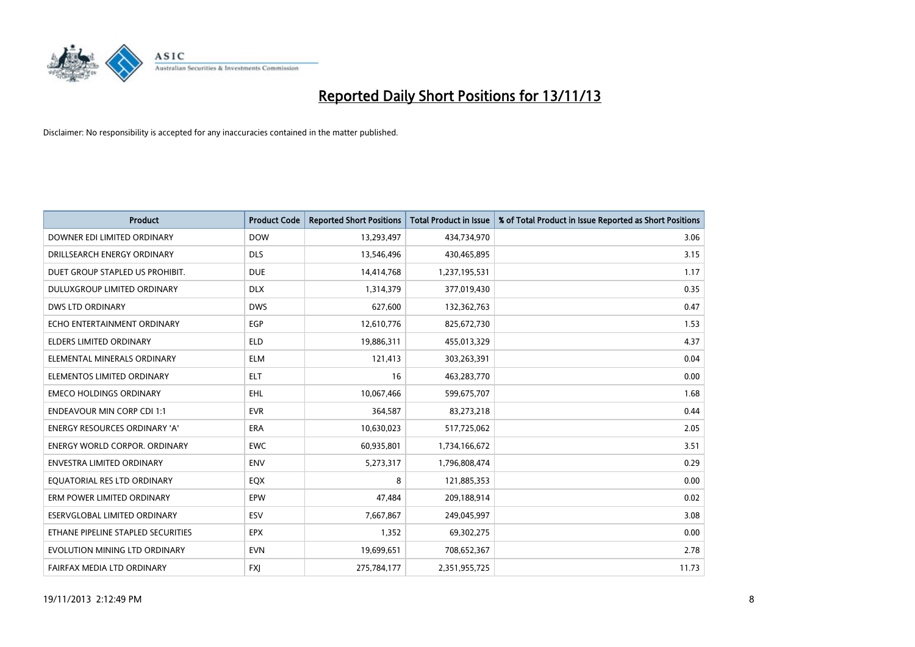

| <b>Product</b>                       | <b>Product Code</b> | <b>Reported Short Positions</b> | <b>Total Product in Issue</b> | % of Total Product in Issue Reported as Short Positions |
|--------------------------------------|---------------------|---------------------------------|-------------------------------|---------------------------------------------------------|
| DOWNER EDI LIMITED ORDINARY          | <b>DOW</b>          | 13,293,497                      | 434,734,970                   | 3.06                                                    |
| DRILLSEARCH ENERGY ORDINARY          | <b>DLS</b>          | 13,546,496                      | 430,465,895                   | 3.15                                                    |
| DUET GROUP STAPLED US PROHIBIT.      | <b>DUE</b>          | 14,414,768                      | 1,237,195,531                 | 1.17                                                    |
| DULUXGROUP LIMITED ORDINARY          | <b>DLX</b>          | 1,314,379                       | 377,019,430                   | 0.35                                                    |
| <b>DWS LTD ORDINARY</b>              | <b>DWS</b>          | 627,600                         | 132,362,763                   | 0.47                                                    |
| ECHO ENTERTAINMENT ORDINARY          | EGP                 | 12,610,776                      | 825,672,730                   | 1.53                                                    |
| <b>ELDERS LIMITED ORDINARY</b>       | <b>ELD</b>          | 19,886,311                      | 455,013,329                   | 4.37                                                    |
| ELEMENTAL MINERALS ORDINARY          | <b>ELM</b>          | 121,413                         | 303,263,391                   | 0.04                                                    |
| ELEMENTOS LIMITED ORDINARY           | <b>ELT</b>          | 16                              | 463,283,770                   | 0.00                                                    |
| <b>EMECO HOLDINGS ORDINARY</b>       | <b>EHL</b>          | 10,067,466                      | 599,675,707                   | 1.68                                                    |
| <b>ENDEAVOUR MIN CORP CDI 1:1</b>    | <b>EVR</b>          | 364,587                         | 83,273,218                    | 0.44                                                    |
| <b>ENERGY RESOURCES ORDINARY 'A'</b> | ERA                 | 10,630,023                      | 517,725,062                   | 2.05                                                    |
| ENERGY WORLD CORPOR. ORDINARY        | <b>EWC</b>          | 60,935,801                      | 1,734,166,672                 | 3.51                                                    |
| <b>ENVESTRA LIMITED ORDINARY</b>     | ENV                 | 5,273,317                       | 1,796,808,474                 | 0.29                                                    |
| EQUATORIAL RES LTD ORDINARY          | EQX                 | 8                               | 121,885,353                   | 0.00                                                    |
| ERM POWER LIMITED ORDINARY           | EPW                 | 47,484                          | 209,188,914                   | 0.02                                                    |
| ESERVGLOBAL LIMITED ORDINARY         | ESV                 | 7,667,867                       | 249,045,997                   | 3.08                                                    |
| ETHANE PIPELINE STAPLED SECURITIES   | <b>EPX</b>          | 1,352                           | 69,302,275                    | 0.00                                                    |
| EVOLUTION MINING LTD ORDINARY        | <b>EVN</b>          | 19,699,651                      | 708,652,367                   | 2.78                                                    |
| FAIRFAX MEDIA LTD ORDINARY           | <b>FXJ</b>          | 275,784,177                     | 2,351,955,725                 | 11.73                                                   |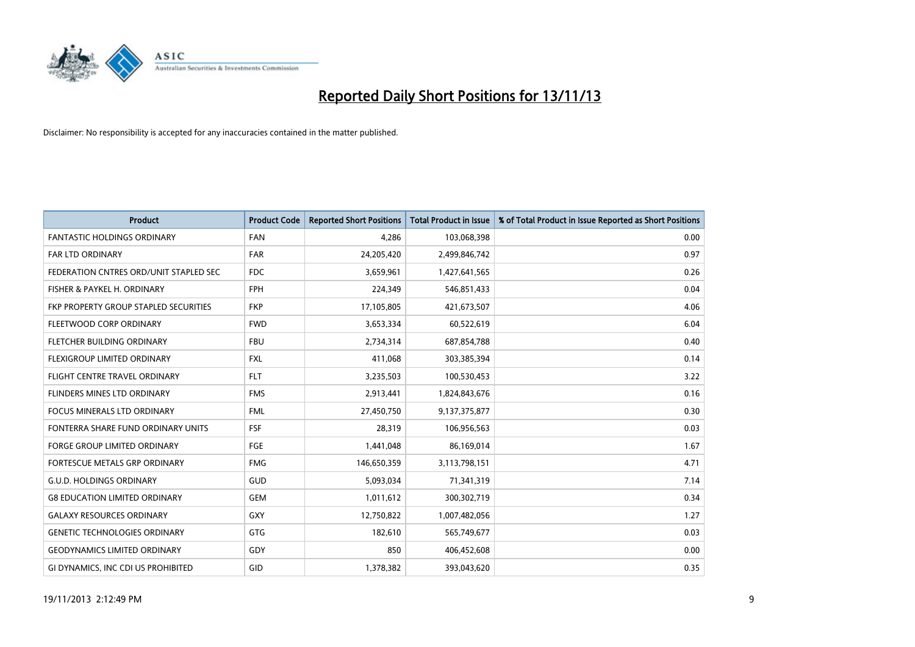

| <b>Product</b>                         | <b>Product Code</b> | <b>Reported Short Positions</b> | <b>Total Product in Issue</b> | % of Total Product in Issue Reported as Short Positions |
|----------------------------------------|---------------------|---------------------------------|-------------------------------|---------------------------------------------------------|
| <b>FANTASTIC HOLDINGS ORDINARY</b>     | <b>FAN</b>          | 4,286                           | 103,068,398                   | 0.00                                                    |
| FAR LTD ORDINARY                       | <b>FAR</b>          | 24,205,420                      | 2,499,846,742                 | 0.97                                                    |
| FEDERATION CNTRES ORD/UNIT STAPLED SEC | <b>FDC</b>          | 3,659,961                       | 1,427,641,565                 | 0.26                                                    |
| FISHER & PAYKEL H. ORDINARY            | <b>FPH</b>          | 224,349                         | 546,851,433                   | 0.04                                                    |
| FKP PROPERTY GROUP STAPLED SECURITIES  | <b>FKP</b>          | 17,105,805                      | 421,673,507                   | 4.06                                                    |
| FLEETWOOD CORP ORDINARY                | <b>FWD</b>          | 3,653,334                       | 60,522,619                    | 6.04                                                    |
| FLETCHER BUILDING ORDINARY             | <b>FBU</b>          | 2,734,314                       | 687,854,788                   | 0.40                                                    |
| FLEXIGROUP LIMITED ORDINARY            | FXL                 | 411,068                         | 303,385,394                   | 0.14                                                    |
| FLIGHT CENTRE TRAVEL ORDINARY          | <b>FLT</b>          | 3,235,503                       | 100,530,453                   | 3.22                                                    |
| FLINDERS MINES LTD ORDINARY            | <b>FMS</b>          | 2,913,441                       | 1,824,843,676                 | 0.16                                                    |
| FOCUS MINERALS LTD ORDINARY            | <b>FML</b>          | 27,450,750                      | 9,137,375,877                 | 0.30                                                    |
| FONTERRA SHARE FUND ORDINARY UNITS     | <b>FSF</b>          | 28,319                          | 106,956,563                   | 0.03                                                    |
| FORGE GROUP LIMITED ORDINARY           | FGE                 | 1,441,048                       | 86,169,014                    | 1.67                                                    |
| FORTESCUE METALS GRP ORDINARY          | <b>FMG</b>          | 146,650,359                     | 3,113,798,151                 | 4.71                                                    |
| <b>G.U.D. HOLDINGS ORDINARY</b>        | GUD                 | 5,093,034                       | 71,341,319                    | 7.14                                                    |
| <b>G8 EDUCATION LIMITED ORDINARY</b>   | <b>GEM</b>          | 1,011,612                       | 300,302,719                   | 0.34                                                    |
| <b>GALAXY RESOURCES ORDINARY</b>       | GXY                 | 12,750,822                      | 1,007,482,056                 | 1.27                                                    |
| <b>GENETIC TECHNOLOGIES ORDINARY</b>   | GTG                 | 182,610                         | 565,749,677                   | 0.03                                                    |
| <b>GEODYNAMICS LIMITED ORDINARY</b>    | GDY                 | 850                             | 406,452,608                   | 0.00                                                    |
| GI DYNAMICS, INC CDI US PROHIBITED     | GID                 | 1,378,382                       | 393,043,620                   | 0.35                                                    |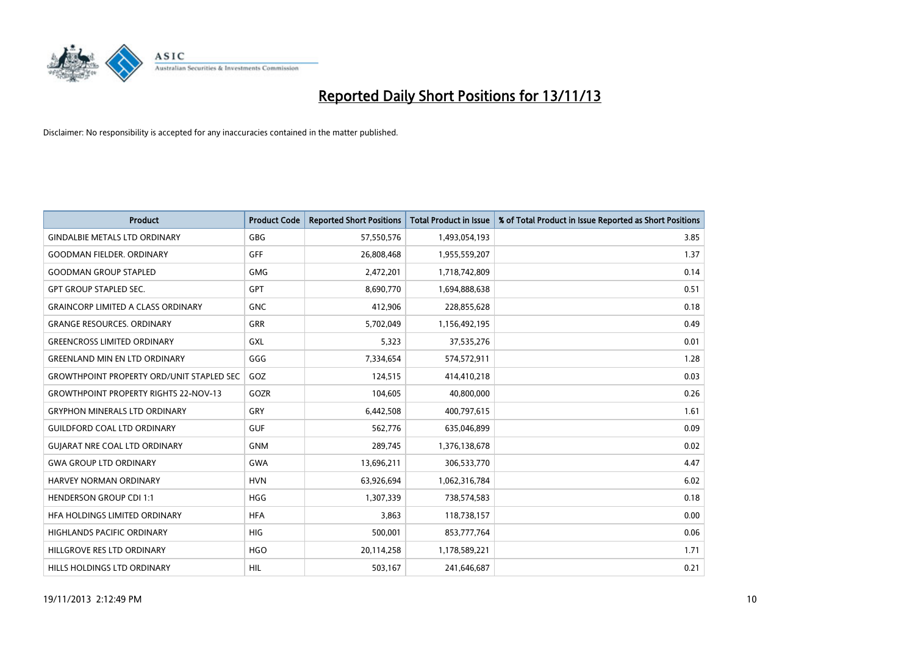

| Product                                          | <b>Product Code</b> | <b>Reported Short Positions</b> | <b>Total Product in Issue</b> | % of Total Product in Issue Reported as Short Positions |
|--------------------------------------------------|---------------------|---------------------------------|-------------------------------|---------------------------------------------------------|
| <b>GINDALBIE METALS LTD ORDINARY</b>             | GBG                 | 57,550,576                      | 1,493,054,193                 | 3.85                                                    |
| <b>GOODMAN FIELDER, ORDINARY</b>                 | <b>GFF</b>          | 26,808,468                      | 1,955,559,207                 | 1.37                                                    |
| <b>GOODMAN GROUP STAPLED</b>                     | <b>GMG</b>          | 2,472,201                       | 1,718,742,809                 | 0.14                                                    |
| <b>GPT GROUP STAPLED SEC.</b>                    | <b>GPT</b>          | 8,690,770                       | 1,694,888,638                 | 0.51                                                    |
| <b>GRAINCORP LIMITED A CLASS ORDINARY</b>        | <b>GNC</b>          | 412,906                         | 228,855,628                   | 0.18                                                    |
| <b>GRANGE RESOURCES, ORDINARY</b>                | GRR                 | 5,702,049                       | 1,156,492,195                 | 0.49                                                    |
| <b>GREENCROSS LIMITED ORDINARY</b>               | <b>GXL</b>          | 5,323                           | 37,535,276                    | 0.01                                                    |
| <b>GREENLAND MIN EN LTD ORDINARY</b>             | GGG                 | 7,334,654                       | 574,572,911                   | 1.28                                                    |
| <b>GROWTHPOINT PROPERTY ORD/UNIT STAPLED SEC</b> | GOZ                 | 124,515                         | 414,410,218                   | 0.03                                                    |
| <b>GROWTHPOINT PROPERTY RIGHTS 22-NOV-13</b>     | GOZR                | 104,605                         | 40,800,000                    | 0.26                                                    |
| <b>GRYPHON MINERALS LTD ORDINARY</b>             | GRY                 | 6,442,508                       | 400,797,615                   | 1.61                                                    |
| <b>GUILDFORD COAL LTD ORDINARY</b>               | <b>GUF</b>          | 562,776                         | 635,046,899                   | 0.09                                                    |
| <b>GUIARAT NRE COAL LTD ORDINARY</b>             | <b>GNM</b>          | 289,745                         | 1,376,138,678                 | 0.02                                                    |
| <b>GWA GROUP LTD ORDINARY</b>                    | <b>GWA</b>          | 13,696,211                      | 306,533,770                   | 4.47                                                    |
| HARVEY NORMAN ORDINARY                           | <b>HVN</b>          | 63,926,694                      | 1,062,316,784                 | 6.02                                                    |
| <b>HENDERSON GROUP CDI 1:1</b>                   | <b>HGG</b>          | 1,307,339                       | 738,574,583                   | 0.18                                                    |
| HFA HOLDINGS LIMITED ORDINARY                    | <b>HFA</b>          | 3,863                           | 118,738,157                   | 0.00                                                    |
| HIGHLANDS PACIFIC ORDINARY                       | <b>HIG</b>          | 500,001                         | 853,777,764                   | 0.06                                                    |
| HILLGROVE RES LTD ORDINARY                       | <b>HGO</b>          | 20,114,258                      | 1,178,589,221                 | 1.71                                                    |
| HILLS HOLDINGS LTD ORDINARY                      | <b>HIL</b>          | 503,167                         | 241,646,687                   | 0.21                                                    |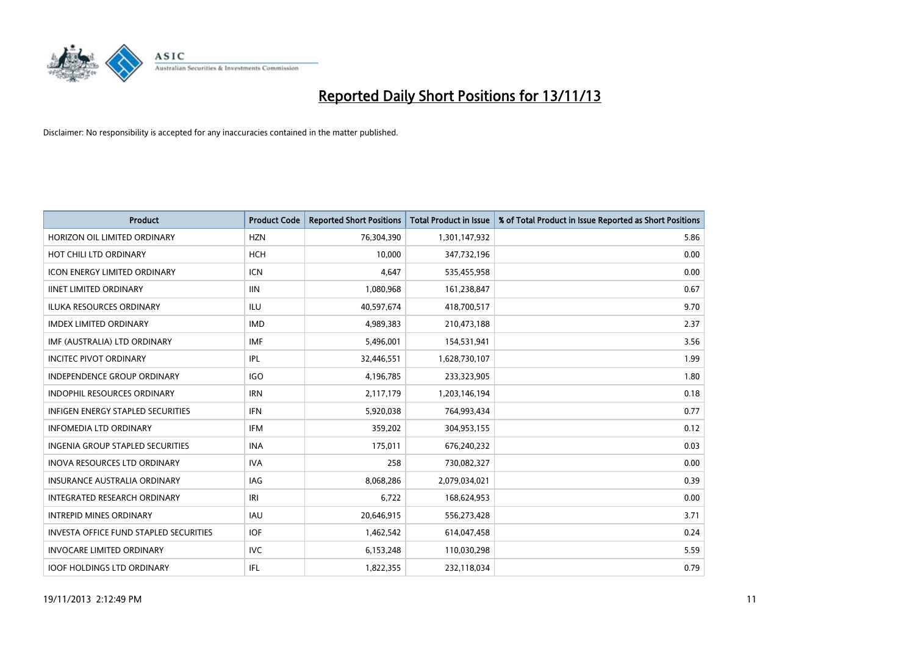

| <b>Product</b>                                | <b>Product Code</b> | <b>Reported Short Positions</b> | <b>Total Product in Issue</b> | % of Total Product in Issue Reported as Short Positions |
|-----------------------------------------------|---------------------|---------------------------------|-------------------------------|---------------------------------------------------------|
| HORIZON OIL LIMITED ORDINARY                  | <b>HZN</b>          | 76,304,390                      | 1,301,147,932                 | 5.86                                                    |
| <b>HOT CHILI LTD ORDINARY</b>                 | <b>HCH</b>          | 10,000                          | 347,732,196                   | 0.00                                                    |
| <b>ICON ENERGY LIMITED ORDINARY</b>           | ICN                 | 4,647                           | 535,455,958                   | 0.00                                                    |
| <b>IINET LIMITED ORDINARY</b>                 | <b>IIN</b>          | 1,080,968                       | 161,238,847                   | 0.67                                                    |
| <b>ILUKA RESOURCES ORDINARY</b>               | ILU                 | 40,597,674                      | 418,700,517                   | 9.70                                                    |
| <b>IMDEX LIMITED ORDINARY</b>                 | <b>IMD</b>          | 4,989,383                       | 210,473,188                   | 2.37                                                    |
| IMF (AUSTRALIA) LTD ORDINARY                  | <b>IMF</b>          | 5,496,001                       | 154,531,941                   | 3.56                                                    |
| <b>INCITEC PIVOT ORDINARY</b>                 | IPL                 | 32,446,551                      | 1,628,730,107                 | 1.99                                                    |
| <b>INDEPENDENCE GROUP ORDINARY</b>            | <b>IGO</b>          | 4,196,785                       | 233,323,905                   | 1.80                                                    |
| <b>INDOPHIL RESOURCES ORDINARY</b>            | <b>IRN</b>          | 2,117,179                       | 1,203,146,194                 | 0.18                                                    |
| INFIGEN ENERGY STAPLED SECURITIES             | <b>IFN</b>          | 5,920,038                       | 764,993,434                   | 0.77                                                    |
| INFOMEDIA LTD ORDINARY                        | <b>IFM</b>          | 359,202                         | 304,953,155                   | 0.12                                                    |
| <b>INGENIA GROUP STAPLED SECURITIES</b>       | <b>INA</b>          | 175,011                         | 676,240,232                   | 0.03                                                    |
| <b>INOVA RESOURCES LTD ORDINARY</b>           | <b>IVA</b>          | 258                             | 730,082,327                   | 0.00                                                    |
| <b>INSURANCE AUSTRALIA ORDINARY</b>           | IAG                 | 8,068,286                       | 2,079,034,021                 | 0.39                                                    |
| INTEGRATED RESEARCH ORDINARY                  | IRI                 | 6,722                           | 168,624,953                   | 0.00                                                    |
| <b>INTREPID MINES ORDINARY</b>                | <b>IAU</b>          | 20,646,915                      | 556,273,428                   | 3.71                                                    |
| <b>INVESTA OFFICE FUND STAPLED SECURITIES</b> | <b>IOF</b>          | 1,462,542                       | 614,047,458                   | 0.24                                                    |
| <b>INVOCARE LIMITED ORDINARY</b>              | <b>IVC</b>          | 6,153,248                       | 110,030,298                   | 5.59                                                    |
| <b>IOOF HOLDINGS LTD ORDINARY</b>             | IFL                 | 1,822,355                       | 232,118,034                   | 0.79                                                    |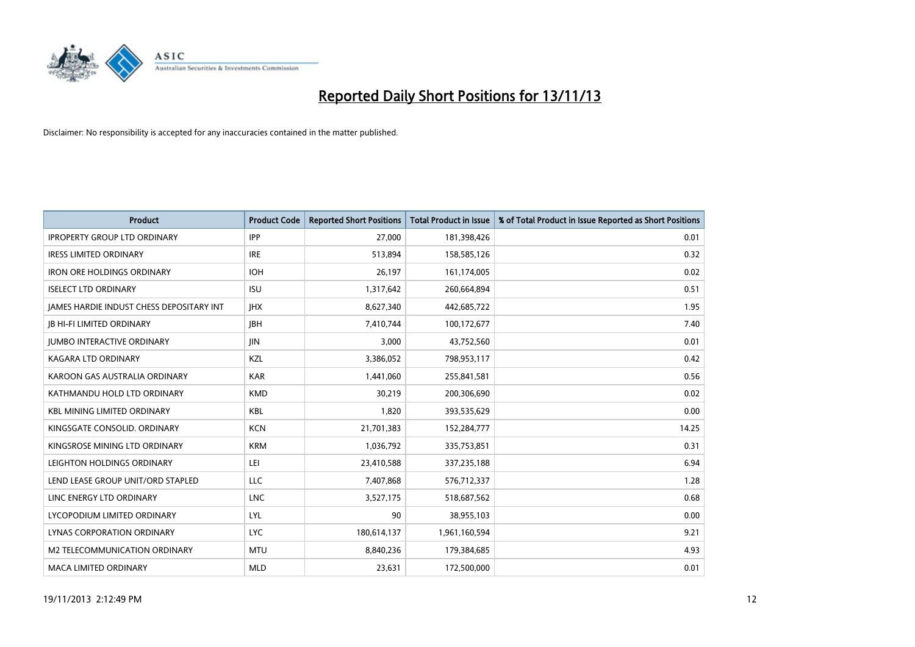

| <b>Product</b>                                  | <b>Product Code</b> | <b>Reported Short Positions</b> | <b>Total Product in Issue</b> | % of Total Product in Issue Reported as Short Positions |
|-------------------------------------------------|---------------------|---------------------------------|-------------------------------|---------------------------------------------------------|
| <b>IPROPERTY GROUP LTD ORDINARY</b>             | <b>IPP</b>          | 27,000                          | 181,398,426                   | 0.01                                                    |
| <b>IRESS LIMITED ORDINARY</b>                   | <b>IRE</b>          | 513,894                         | 158,585,126                   | 0.32                                                    |
| <b>IRON ORE HOLDINGS ORDINARY</b>               | <b>IOH</b>          | 26.197                          | 161,174,005                   | 0.02                                                    |
| <b>ISELECT LTD ORDINARY</b>                     | <b>ISU</b>          | 1,317,642                       | 260,664,894                   | 0.51                                                    |
| <b>JAMES HARDIE INDUST CHESS DEPOSITARY INT</b> | <b>IHX</b>          | 8,627,340                       | 442,685,722                   | 1.95                                                    |
| <b>JB HI-FI LIMITED ORDINARY</b>                | <b>IBH</b>          | 7,410,744                       | 100,172,677                   | 7.40                                                    |
| <b>JUMBO INTERACTIVE ORDINARY</b>               | JIN                 | 3,000                           | 43,752,560                    | 0.01                                                    |
| KAGARA LTD ORDINARY                             | KZL                 | 3,386,052                       | 798,953,117                   | 0.42                                                    |
| KAROON GAS AUSTRALIA ORDINARY                   | <b>KAR</b>          | 1,441,060                       | 255,841,581                   | 0.56                                                    |
| KATHMANDU HOLD LTD ORDINARY                     | <b>KMD</b>          | 30,219                          | 200,306,690                   | 0.02                                                    |
| <b>KBL MINING LIMITED ORDINARY</b>              | <b>KBL</b>          | 1,820                           | 393,535,629                   | 0.00                                                    |
| KINGSGATE CONSOLID. ORDINARY                    | <b>KCN</b>          | 21,701,383                      | 152,284,777                   | 14.25                                                   |
| KINGSROSE MINING LTD ORDINARY                   | <b>KRM</b>          | 1,036,792                       | 335,753,851                   | 0.31                                                    |
| LEIGHTON HOLDINGS ORDINARY                      | LEI                 | 23,410,588                      | 337,235,188                   | 6.94                                                    |
| LEND LEASE GROUP UNIT/ORD STAPLED               | <b>LLC</b>          | 7,407,868                       | 576,712,337                   | 1.28                                                    |
| LINC ENERGY LTD ORDINARY                        | <b>LNC</b>          | 3,527,175                       | 518,687,562                   | 0.68                                                    |
| LYCOPODIUM LIMITED ORDINARY                     | LYL                 | 90                              | 38,955,103                    | 0.00                                                    |
| LYNAS CORPORATION ORDINARY                      | <b>LYC</b>          | 180,614,137                     | 1,961,160,594                 | 9.21                                                    |
| <b>M2 TELECOMMUNICATION ORDINARY</b>            | <b>MTU</b>          | 8,840,236                       | 179,384,685                   | 4.93                                                    |
| <b>MACA LIMITED ORDINARY</b>                    | <b>MLD</b>          | 23,631                          | 172,500,000                   | 0.01                                                    |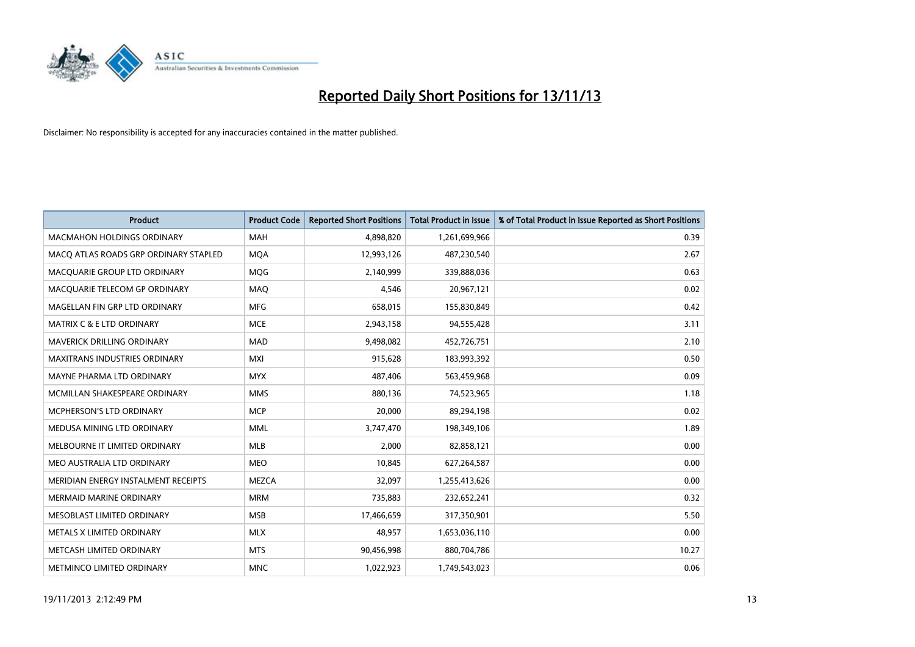

| <b>Product</b>                        | <b>Product Code</b> | <b>Reported Short Positions</b> | <b>Total Product in Issue</b> | % of Total Product in Issue Reported as Short Positions |
|---------------------------------------|---------------------|---------------------------------|-------------------------------|---------------------------------------------------------|
| <b>MACMAHON HOLDINGS ORDINARY</b>     | <b>MAH</b>          | 4,898,820                       | 1,261,699,966                 | 0.39                                                    |
| MACQ ATLAS ROADS GRP ORDINARY STAPLED | <b>MQA</b>          | 12,993,126                      | 487,230,540                   | 2.67                                                    |
| MACQUARIE GROUP LTD ORDINARY          | <b>MOG</b>          | 2,140,999                       | 339,888,036                   | 0.63                                                    |
| MACQUARIE TELECOM GP ORDINARY         | MAQ                 | 4,546                           | 20,967,121                    | 0.02                                                    |
| MAGELLAN FIN GRP LTD ORDINARY         | <b>MFG</b>          | 658,015                         | 155,830,849                   | 0.42                                                    |
| <b>MATRIX C &amp; E LTD ORDINARY</b>  | <b>MCE</b>          | 2,943,158                       | 94,555,428                    | 3.11                                                    |
| MAVERICK DRILLING ORDINARY            | <b>MAD</b>          | 9,498,082                       | 452,726,751                   | 2.10                                                    |
| MAXITRANS INDUSTRIES ORDINARY         | <b>MXI</b>          | 915,628                         | 183,993,392                   | 0.50                                                    |
| MAYNE PHARMA LTD ORDINARY             | <b>MYX</b>          | 487,406                         | 563,459,968                   | 0.09                                                    |
| MCMILLAN SHAKESPEARE ORDINARY         | <b>MMS</b>          | 880,136                         | 74,523,965                    | 1.18                                                    |
| MCPHERSON'S LTD ORDINARY              | <b>MCP</b>          | 20,000                          | 89,294,198                    | 0.02                                                    |
| MEDUSA MINING LTD ORDINARY            | <b>MML</b>          | 3,747,470                       | 198,349,106                   | 1.89                                                    |
| MELBOURNE IT LIMITED ORDINARY         | <b>MLB</b>          | 2,000                           | 82,858,121                    | 0.00                                                    |
| MEO AUSTRALIA LTD ORDINARY            | <b>MEO</b>          | 10,845                          | 627,264,587                   | 0.00                                                    |
| MERIDIAN ENERGY INSTALMENT RECEIPTS   | <b>MEZCA</b>        | 32,097                          | 1,255,413,626                 | 0.00                                                    |
| MERMAID MARINE ORDINARY               | <b>MRM</b>          | 735,883                         | 232,652,241                   | 0.32                                                    |
| MESOBLAST LIMITED ORDINARY            | <b>MSB</b>          | 17,466,659                      | 317,350,901                   | 5.50                                                    |
| METALS X LIMITED ORDINARY             | <b>MLX</b>          | 48,957                          | 1,653,036,110                 | 0.00                                                    |
| METCASH LIMITED ORDINARY              | <b>MTS</b>          | 90,456,998                      | 880,704,786                   | 10.27                                                   |
| METMINCO LIMITED ORDINARY             | <b>MNC</b>          | 1,022,923                       | 1,749,543,023                 | 0.06                                                    |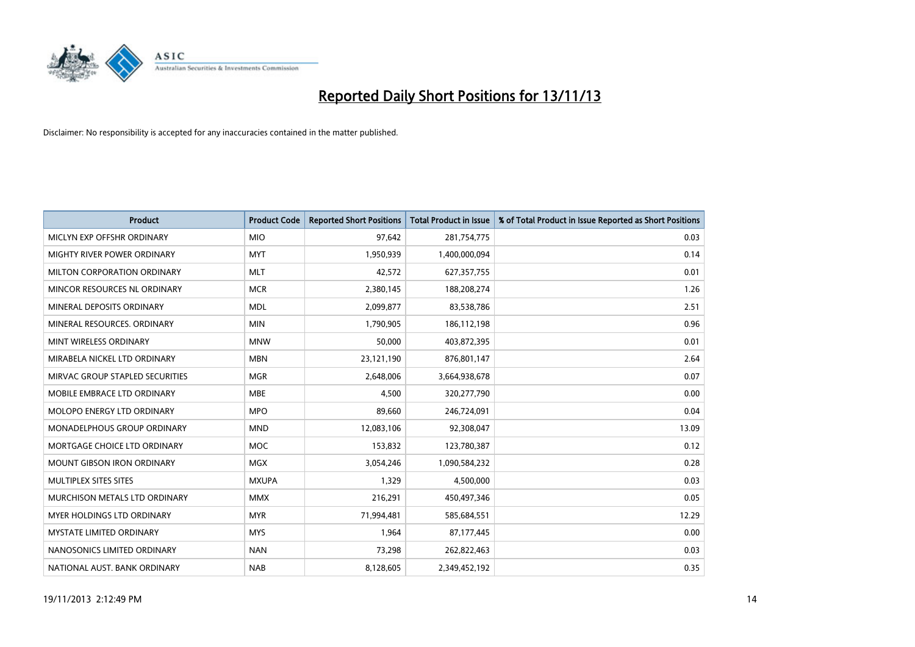

| <b>Product</b>                     | <b>Product Code</b> | <b>Reported Short Positions</b> | <b>Total Product in Issue</b> | % of Total Product in Issue Reported as Short Positions |
|------------------------------------|---------------------|---------------------------------|-------------------------------|---------------------------------------------------------|
| MICLYN EXP OFFSHR ORDINARY         | <b>MIO</b>          | 97,642                          | 281,754,775                   | 0.03                                                    |
| MIGHTY RIVER POWER ORDINARY        | <b>MYT</b>          | 1,950,939                       | 1,400,000,094                 | 0.14                                                    |
| MILTON CORPORATION ORDINARY        | <b>MLT</b>          | 42,572                          | 627,357,755                   | 0.01                                                    |
| MINCOR RESOURCES NL ORDINARY       | <b>MCR</b>          | 2,380,145                       | 188,208,274                   | 1.26                                                    |
| MINERAL DEPOSITS ORDINARY          | <b>MDL</b>          | 2,099,877                       | 83,538,786                    | 2.51                                                    |
| MINERAL RESOURCES, ORDINARY        | <b>MIN</b>          | 1,790,905                       | 186,112,198                   | 0.96                                                    |
| MINT WIRELESS ORDINARY             | <b>MNW</b>          | 50,000                          | 403,872,395                   | 0.01                                                    |
| MIRABELA NICKEL LTD ORDINARY       | <b>MBN</b>          | 23,121,190                      | 876,801,147                   | 2.64                                                    |
| MIRVAC GROUP STAPLED SECURITIES    | <b>MGR</b>          | 2,648,006                       | 3,664,938,678                 | 0.07                                                    |
| MOBILE EMBRACE LTD ORDINARY        | <b>MBE</b>          | 4,500                           | 320,277,790                   | 0.00                                                    |
| MOLOPO ENERGY LTD ORDINARY         | <b>MPO</b>          | 89,660                          | 246,724,091                   | 0.04                                                    |
| <b>MONADELPHOUS GROUP ORDINARY</b> | <b>MND</b>          | 12,083,106                      | 92,308,047                    | 13.09                                                   |
| MORTGAGE CHOICE LTD ORDINARY       | <b>MOC</b>          | 153,832                         | 123,780,387                   | 0.12                                                    |
| <b>MOUNT GIBSON IRON ORDINARY</b>  | <b>MGX</b>          | 3,054,246                       | 1,090,584,232                 | 0.28                                                    |
| MULTIPLEX SITES SITES              | <b>MXUPA</b>        | 1,329                           | 4,500,000                     | 0.03                                                    |
| MURCHISON METALS LTD ORDINARY      | <b>MMX</b>          | 216,291                         | 450,497,346                   | 0.05                                                    |
| MYER HOLDINGS LTD ORDINARY         | <b>MYR</b>          | 71,994,481                      | 585,684,551                   | 12.29                                                   |
| <b>MYSTATE LIMITED ORDINARY</b>    | <b>MYS</b>          | 1,964                           | 87,177,445                    | 0.00                                                    |
| NANOSONICS LIMITED ORDINARY        | <b>NAN</b>          | 73,298                          | 262,822,463                   | 0.03                                                    |
| NATIONAL AUST. BANK ORDINARY       | <b>NAB</b>          | 8,128,605                       | 2,349,452,192                 | 0.35                                                    |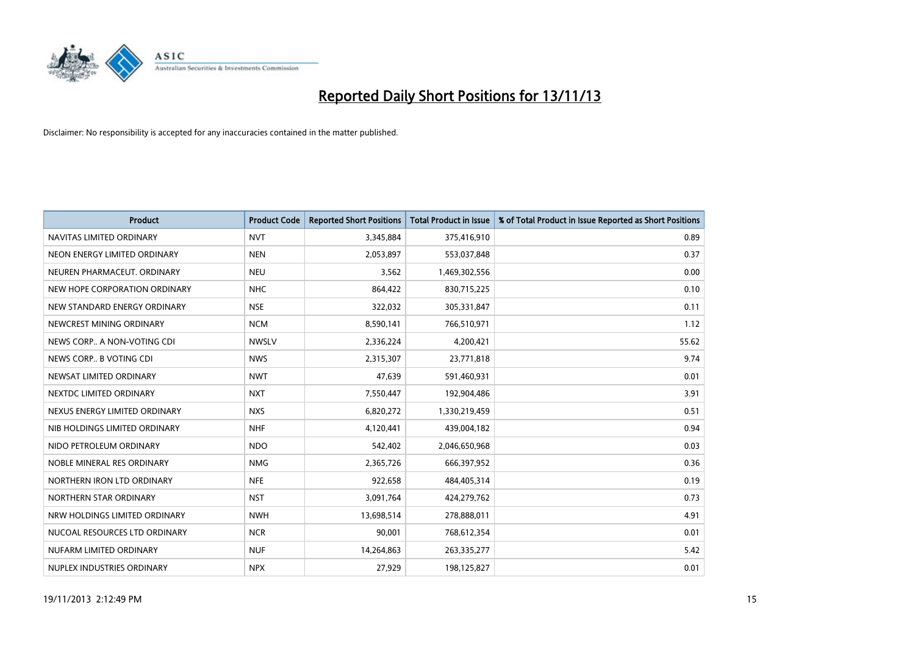

| <b>Product</b>                | <b>Product Code</b> | <b>Reported Short Positions</b> | <b>Total Product in Issue</b> | % of Total Product in Issue Reported as Short Positions |
|-------------------------------|---------------------|---------------------------------|-------------------------------|---------------------------------------------------------|
| NAVITAS LIMITED ORDINARY      | <b>NVT</b>          | 3,345,884                       | 375,416,910                   | 0.89                                                    |
| NEON ENERGY LIMITED ORDINARY  | <b>NEN</b>          | 2,053,897                       | 553,037,848                   | 0.37                                                    |
| NEUREN PHARMACEUT, ORDINARY   | <b>NEU</b>          | 3,562                           | 1,469,302,556                 | 0.00                                                    |
| NEW HOPE CORPORATION ORDINARY | <b>NHC</b>          | 864,422                         | 830,715,225                   | 0.10                                                    |
| NEW STANDARD ENERGY ORDINARY  | <b>NSE</b>          | 322,032                         | 305,331,847                   | 0.11                                                    |
| NEWCREST MINING ORDINARY      | <b>NCM</b>          | 8,590,141                       | 766,510,971                   | 1.12                                                    |
| NEWS CORP A NON-VOTING CDI    | <b>NWSLV</b>        | 2,336,224                       | 4,200,421                     | 55.62                                                   |
| NEWS CORP B VOTING CDI        | <b>NWS</b>          | 2,315,307                       | 23,771,818                    | 9.74                                                    |
| NEWSAT LIMITED ORDINARY       | <b>NWT</b>          | 47,639                          | 591,460,931                   | 0.01                                                    |
| NEXTDC LIMITED ORDINARY       | <b>NXT</b>          | 7,550,447                       | 192,904,486                   | 3.91                                                    |
| NEXUS ENERGY LIMITED ORDINARY | <b>NXS</b>          | 6,820,272                       | 1,330,219,459                 | 0.51                                                    |
| NIB HOLDINGS LIMITED ORDINARY | <b>NHF</b>          | 4,120,441                       | 439,004,182                   | 0.94                                                    |
| NIDO PETROLEUM ORDINARY       | <b>NDO</b>          | 542,402                         | 2,046,650,968                 | 0.03                                                    |
| NOBLE MINERAL RES ORDINARY    | <b>NMG</b>          | 2,365,726                       | 666,397,952                   | 0.36                                                    |
| NORTHERN IRON LTD ORDINARY    | <b>NFE</b>          | 922,658                         | 484,405,314                   | 0.19                                                    |
| NORTHERN STAR ORDINARY        | <b>NST</b>          | 3,091,764                       | 424,279,762                   | 0.73                                                    |
| NRW HOLDINGS LIMITED ORDINARY | <b>NWH</b>          | 13,698,514                      | 278,888,011                   | 4.91                                                    |
| NUCOAL RESOURCES LTD ORDINARY | <b>NCR</b>          | 90,001                          | 768,612,354                   | 0.01                                                    |
| NUFARM LIMITED ORDINARY       | <b>NUF</b>          | 14,264,863                      | 263,335,277                   | 5.42                                                    |
| NUPLEX INDUSTRIES ORDINARY    | <b>NPX</b>          | 27,929                          | 198,125,827                   | 0.01                                                    |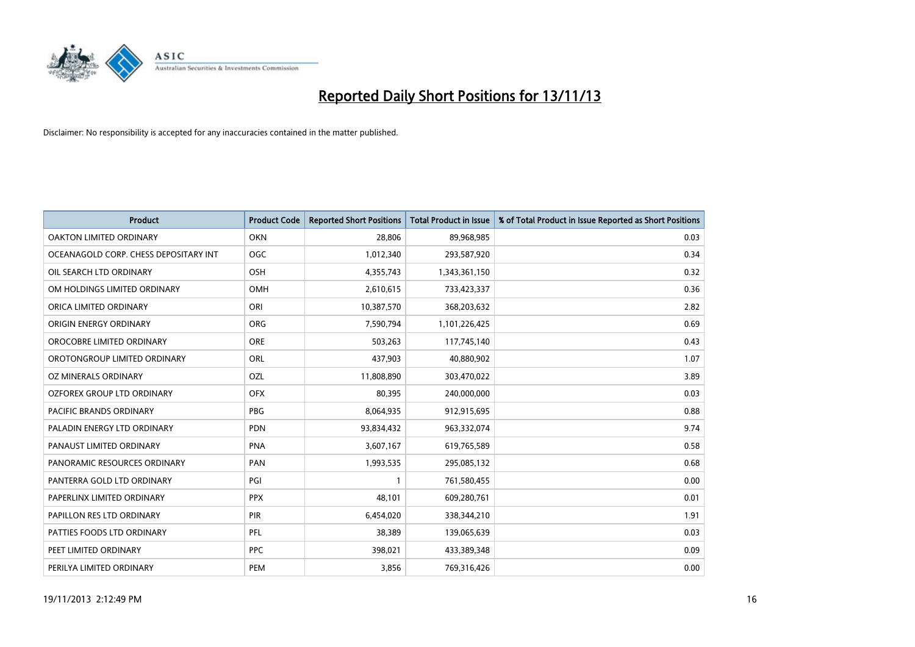

| <b>Product</b>                        | <b>Product Code</b> | <b>Reported Short Positions</b> | <b>Total Product in Issue</b> | % of Total Product in Issue Reported as Short Positions |
|---------------------------------------|---------------------|---------------------------------|-------------------------------|---------------------------------------------------------|
| <b>OAKTON LIMITED ORDINARY</b>        | <b>OKN</b>          | 28,806                          | 89,968,985                    | 0.03                                                    |
| OCEANAGOLD CORP. CHESS DEPOSITARY INT | <b>OGC</b>          | 1,012,340                       | 293,587,920                   | 0.34                                                    |
| OIL SEARCH LTD ORDINARY               | <b>OSH</b>          | 4,355,743                       | 1,343,361,150                 | 0.32                                                    |
| OM HOLDINGS LIMITED ORDINARY          | <b>OMH</b>          | 2,610,615                       | 733,423,337                   | 0.36                                                    |
| ORICA LIMITED ORDINARY                | ORI                 | 10,387,570                      | 368,203,632                   | 2.82                                                    |
| ORIGIN ENERGY ORDINARY                | <b>ORG</b>          | 7,590,794                       | 1,101,226,425                 | 0.69                                                    |
| OROCOBRE LIMITED ORDINARY             | <b>ORE</b>          | 503,263                         | 117,745,140                   | 0.43                                                    |
| OROTONGROUP LIMITED ORDINARY          | ORL                 | 437,903                         | 40,880,902                    | 1.07                                                    |
| <b>OZ MINERALS ORDINARY</b>           | OZL                 | 11,808,890                      | 303,470,022                   | 3.89                                                    |
| OZFOREX GROUP LTD ORDINARY            | <b>OFX</b>          | 80,395                          | 240,000,000                   | 0.03                                                    |
| <b>PACIFIC BRANDS ORDINARY</b>        | <b>PBG</b>          | 8,064,935                       | 912,915,695                   | 0.88                                                    |
| PALADIN ENERGY LTD ORDINARY           | <b>PDN</b>          | 93,834,432                      | 963,332,074                   | 9.74                                                    |
| PANAUST LIMITED ORDINARY              | <b>PNA</b>          | 3,607,167                       | 619,765,589                   | 0.58                                                    |
| PANORAMIC RESOURCES ORDINARY          | PAN                 | 1,993,535                       | 295,085,132                   | 0.68                                                    |
| PANTERRA GOLD LTD ORDINARY            | PGI                 | $\mathbf{1}$                    | 761,580,455                   | 0.00                                                    |
| PAPERLINX LIMITED ORDINARY            | <b>PPX</b>          | 48,101                          | 609,280,761                   | 0.01                                                    |
| PAPILLON RES LTD ORDINARY             | <b>PIR</b>          | 6,454,020                       | 338,344,210                   | 1.91                                                    |
| PATTIES FOODS LTD ORDINARY            | PFL                 | 38,389                          | 139,065,639                   | 0.03                                                    |
| PEET LIMITED ORDINARY                 | <b>PPC</b>          | 398,021                         | 433,389,348                   | 0.09                                                    |
| PERILYA LIMITED ORDINARY              | PEM                 | 3,856                           | 769,316,426                   | 0.00                                                    |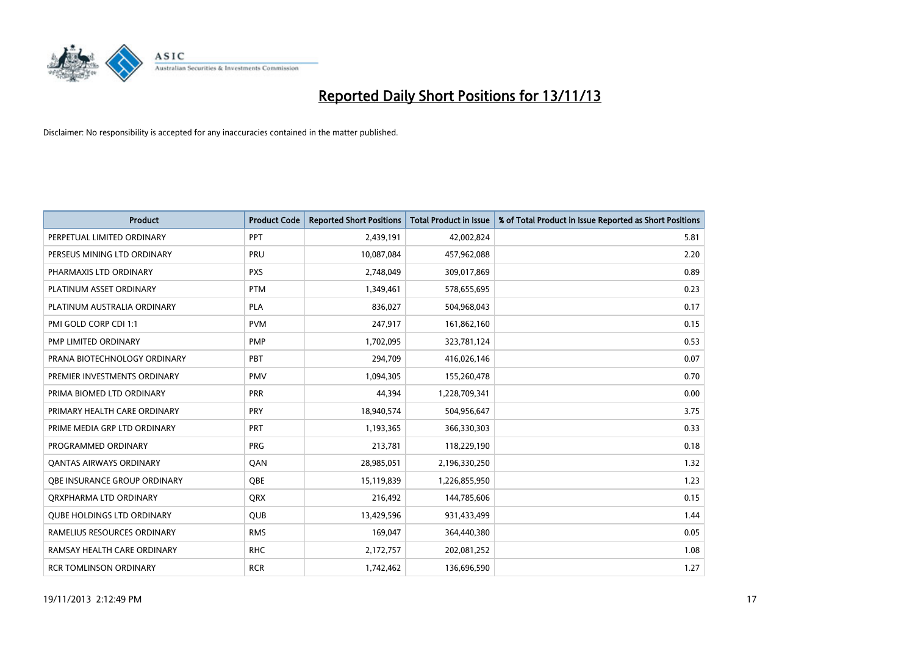

| <b>Product</b>                    | <b>Product Code</b> | <b>Reported Short Positions</b> | <b>Total Product in Issue</b> | % of Total Product in Issue Reported as Short Positions |
|-----------------------------------|---------------------|---------------------------------|-------------------------------|---------------------------------------------------------|
| PERPETUAL LIMITED ORDINARY        | PPT                 | 2,439,191                       | 42,002,824                    | 5.81                                                    |
| PERSEUS MINING LTD ORDINARY       | PRU                 | 10,087,084                      | 457,962,088                   | 2.20                                                    |
| PHARMAXIS LTD ORDINARY            | <b>PXS</b>          | 2,748,049                       | 309,017,869                   | 0.89                                                    |
| PLATINUM ASSET ORDINARY           | <b>PTM</b>          | 1,349,461                       | 578,655,695                   | 0.23                                                    |
| PLATINUM AUSTRALIA ORDINARY       | <b>PLA</b>          | 836,027                         | 504,968,043                   | 0.17                                                    |
| PMI GOLD CORP CDI 1:1             | <b>PVM</b>          | 247,917                         | 161,862,160                   | 0.15                                                    |
| PMP LIMITED ORDINARY              | <b>PMP</b>          | 1,702,095                       | 323,781,124                   | 0.53                                                    |
| PRANA BIOTECHNOLOGY ORDINARY      | PBT                 | 294,709                         | 416,026,146                   | 0.07                                                    |
| PREMIER INVESTMENTS ORDINARY      | <b>PMV</b>          | 1,094,305                       | 155,260,478                   | 0.70                                                    |
| PRIMA BIOMED LTD ORDINARY         | <b>PRR</b>          | 44,394                          | 1,228,709,341                 | 0.00                                                    |
| PRIMARY HEALTH CARE ORDINARY      | <b>PRY</b>          | 18,940,574                      | 504,956,647                   | 3.75                                                    |
| PRIME MEDIA GRP LTD ORDINARY      | <b>PRT</b>          | 1,193,365                       | 366,330,303                   | 0.33                                                    |
| PROGRAMMED ORDINARY               | <b>PRG</b>          | 213,781                         | 118,229,190                   | 0.18                                                    |
| <b>QANTAS AIRWAYS ORDINARY</b>    | QAN                 | 28,985,051                      | 2,196,330,250                 | 1.32                                                    |
| OBE INSURANCE GROUP ORDINARY      | <b>OBE</b>          | 15,119,839                      | 1,226,855,950                 | 1.23                                                    |
| ORXPHARMA LTD ORDINARY            | QRX                 | 216,492                         | 144,785,606                   | 0.15                                                    |
| <b>QUBE HOLDINGS LTD ORDINARY</b> | QUB                 | 13,429,596                      | 931,433,499                   | 1.44                                                    |
| RAMELIUS RESOURCES ORDINARY       | <b>RMS</b>          | 169,047                         | 364,440,380                   | 0.05                                                    |
| RAMSAY HEALTH CARE ORDINARY       | <b>RHC</b>          | 2,172,757                       | 202,081,252                   | 1.08                                                    |
| <b>RCR TOMLINSON ORDINARY</b>     | <b>RCR</b>          | 1,742,462                       | 136,696,590                   | 1.27                                                    |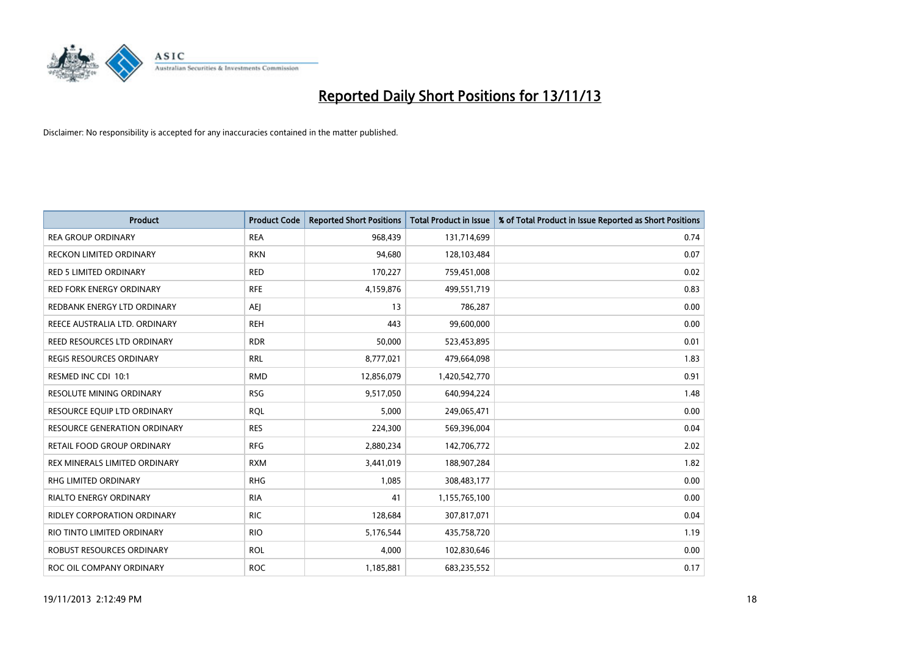

| <b>Product</b>                      | <b>Product Code</b> | <b>Reported Short Positions</b> | <b>Total Product in Issue</b> | % of Total Product in Issue Reported as Short Positions |
|-------------------------------------|---------------------|---------------------------------|-------------------------------|---------------------------------------------------------|
| <b>REA GROUP ORDINARY</b>           | <b>REA</b>          | 968,439                         | 131,714,699                   | 0.74                                                    |
| RECKON LIMITED ORDINARY             | <b>RKN</b>          | 94,680                          | 128,103,484                   | 0.07                                                    |
| <b>RED 5 LIMITED ORDINARY</b>       | <b>RED</b>          | 170,227                         | 759,451,008                   | 0.02                                                    |
| <b>RED FORK ENERGY ORDINARY</b>     | <b>RFE</b>          | 4,159,876                       | 499,551,719                   | 0.83                                                    |
| REDBANK ENERGY LTD ORDINARY         | <b>AEI</b>          | 13                              | 786,287                       | 0.00                                                    |
| REECE AUSTRALIA LTD. ORDINARY       | <b>REH</b>          | 443                             | 99,600,000                    | 0.00                                                    |
| REED RESOURCES LTD ORDINARY         | <b>RDR</b>          | 50,000                          | 523,453,895                   | 0.01                                                    |
| REGIS RESOURCES ORDINARY            | <b>RRL</b>          | 8,777,021                       | 479,664,098                   | 1.83                                                    |
| RESMED INC CDI 10:1                 | <b>RMD</b>          | 12,856,079                      | 1,420,542,770                 | 0.91                                                    |
| <b>RESOLUTE MINING ORDINARY</b>     | <b>RSG</b>          | 9,517,050                       | 640,994,224                   | 1.48                                                    |
| RESOURCE EQUIP LTD ORDINARY         | <b>RQL</b>          | 5,000                           | 249,065,471                   | 0.00                                                    |
| <b>RESOURCE GENERATION ORDINARY</b> | <b>RES</b>          | 224,300                         | 569,396,004                   | 0.04                                                    |
| RETAIL FOOD GROUP ORDINARY          | <b>RFG</b>          | 2,880,234                       | 142,706,772                   | 2.02                                                    |
| REX MINERALS LIMITED ORDINARY       | <b>RXM</b>          | 3,441,019                       | 188,907,284                   | 1.82                                                    |
| <b>RHG LIMITED ORDINARY</b>         | <b>RHG</b>          | 1,085                           | 308,483,177                   | 0.00                                                    |
| RIALTO ENERGY ORDINARY              | <b>RIA</b>          | 41                              | 1,155,765,100                 | 0.00                                                    |
| RIDLEY CORPORATION ORDINARY         | <b>RIC</b>          | 128,684                         | 307,817,071                   | 0.04                                                    |
| RIO TINTO LIMITED ORDINARY          | <b>RIO</b>          | 5,176,544                       | 435,758,720                   | 1.19                                                    |
| <b>ROBUST RESOURCES ORDINARY</b>    | <b>ROL</b>          | 4,000                           | 102,830,646                   | 0.00                                                    |
| ROC OIL COMPANY ORDINARY            | <b>ROC</b>          | 1,185,881                       | 683,235,552                   | 0.17                                                    |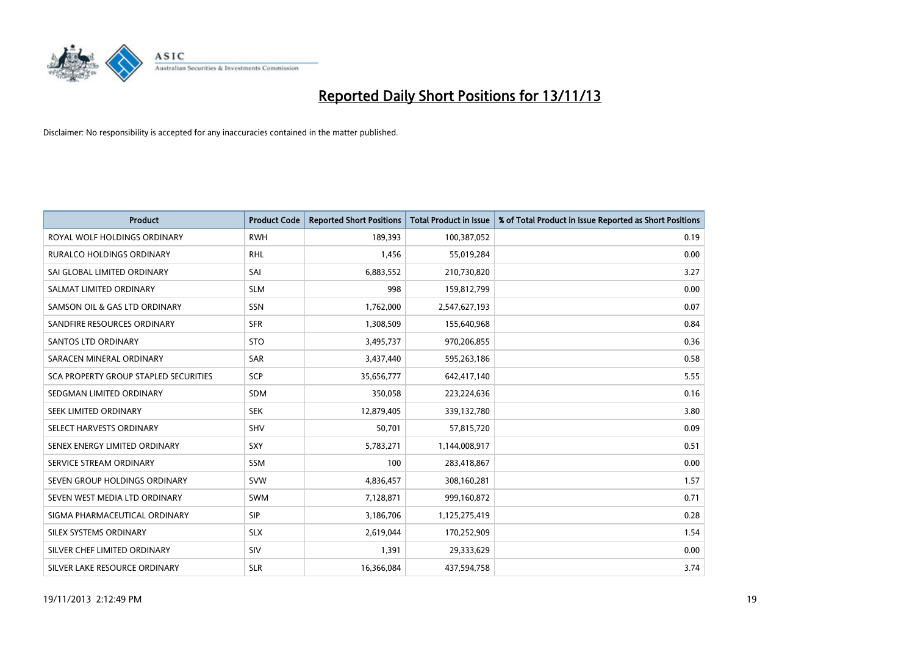

| <b>Product</b>                               | <b>Product Code</b> | <b>Reported Short Positions</b> | <b>Total Product in Issue</b> | % of Total Product in Issue Reported as Short Positions |
|----------------------------------------------|---------------------|---------------------------------|-------------------------------|---------------------------------------------------------|
| ROYAL WOLF HOLDINGS ORDINARY                 | <b>RWH</b>          | 189,393                         | 100,387,052                   | 0.19                                                    |
| <b>RURALCO HOLDINGS ORDINARY</b>             | <b>RHL</b>          | 1,456                           | 55,019,284                    | 0.00                                                    |
| SAI GLOBAL LIMITED ORDINARY                  | SAI                 | 6,883,552                       | 210,730,820                   | 3.27                                                    |
| SALMAT LIMITED ORDINARY                      | <b>SLM</b>          | 998                             | 159,812,799                   | 0.00                                                    |
| SAMSON OIL & GAS LTD ORDINARY                | SSN                 | 1,762,000                       | 2,547,627,193                 | 0.07                                                    |
| SANDFIRE RESOURCES ORDINARY                  | <b>SFR</b>          | 1,308,509                       | 155,640,968                   | 0.84                                                    |
| SANTOS LTD ORDINARY                          | <b>STO</b>          | 3,495,737                       | 970,206,855                   | 0.36                                                    |
| SARACEN MINERAL ORDINARY                     | <b>SAR</b>          | 3,437,440                       | 595,263,186                   | 0.58                                                    |
| <b>SCA PROPERTY GROUP STAPLED SECURITIES</b> | <b>SCP</b>          | 35,656,777                      | 642,417,140                   | 5.55                                                    |
| SEDGMAN LIMITED ORDINARY                     | <b>SDM</b>          | 350,058                         | 223,224,636                   | 0.16                                                    |
| SEEK LIMITED ORDINARY                        | <b>SEK</b>          | 12,879,405                      | 339,132,780                   | 3.80                                                    |
| SELECT HARVESTS ORDINARY                     | SHV                 | 50,701                          | 57,815,720                    | 0.09                                                    |
| SENEX ENERGY LIMITED ORDINARY                | <b>SXY</b>          | 5,783,271                       | 1,144,008,917                 | 0.51                                                    |
| SERVICE STREAM ORDINARY                      | SSM                 | 100                             | 283,418,867                   | 0.00                                                    |
| SEVEN GROUP HOLDINGS ORDINARY                | <b>SVW</b>          | 4,836,457                       | 308,160,281                   | 1.57                                                    |
| SEVEN WEST MEDIA LTD ORDINARY                | <b>SWM</b>          | 7,128,871                       | 999,160,872                   | 0.71                                                    |
| SIGMA PHARMACEUTICAL ORDINARY                | <b>SIP</b>          | 3,186,706                       | 1,125,275,419                 | 0.28                                                    |
| SILEX SYSTEMS ORDINARY                       | <b>SLX</b>          | 2,619,044                       | 170,252,909                   | 1.54                                                    |
| SILVER CHEF LIMITED ORDINARY                 | SIV                 | 1,391                           | 29,333,629                    | 0.00                                                    |
| SILVER LAKE RESOURCE ORDINARY                | <b>SLR</b>          | 16,366,084                      | 437,594,758                   | 3.74                                                    |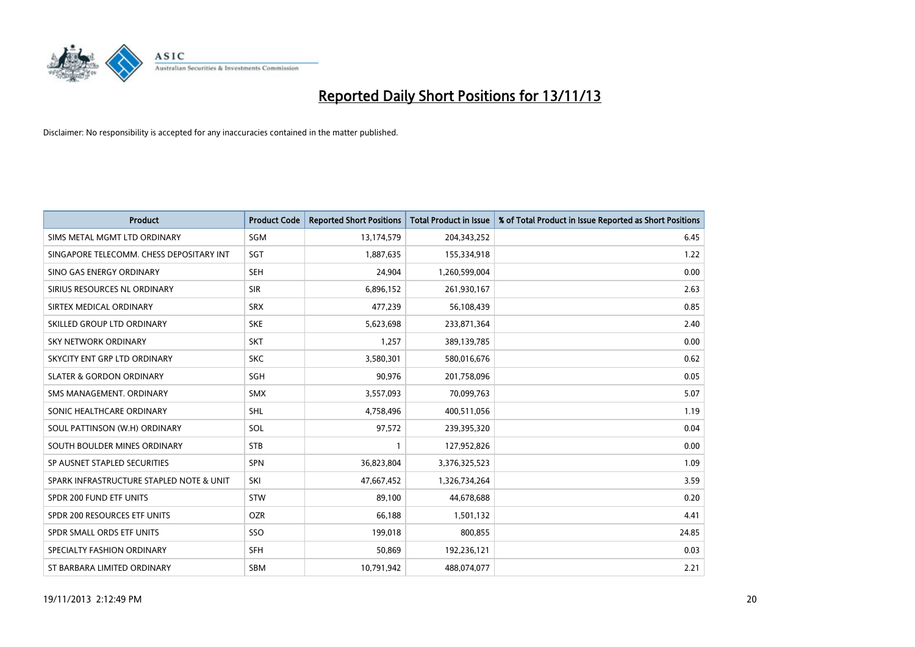

| <b>Product</b>                           | <b>Product Code</b> | <b>Reported Short Positions</b> | <b>Total Product in Issue</b> | % of Total Product in Issue Reported as Short Positions |
|------------------------------------------|---------------------|---------------------------------|-------------------------------|---------------------------------------------------------|
| SIMS METAL MGMT LTD ORDINARY             | SGM                 | 13,174,579                      | 204,343,252                   | 6.45                                                    |
| SINGAPORE TELECOMM. CHESS DEPOSITARY INT | SGT                 | 1,887,635                       | 155,334,918                   | 1.22                                                    |
| SINO GAS ENERGY ORDINARY                 | <b>SEH</b>          | 24,904                          | 1,260,599,004                 | 0.00                                                    |
| SIRIUS RESOURCES NL ORDINARY             | <b>SIR</b>          | 6,896,152                       | 261,930,167                   | 2.63                                                    |
| SIRTEX MEDICAL ORDINARY                  | <b>SRX</b>          | 477,239                         | 56,108,439                    | 0.85                                                    |
| SKILLED GROUP LTD ORDINARY               | <b>SKE</b>          | 5,623,698                       | 233,871,364                   | 2.40                                                    |
| <b>SKY NETWORK ORDINARY</b>              | <b>SKT</b>          | 1.257                           | 389,139,785                   | 0.00                                                    |
| SKYCITY ENT GRP LTD ORDINARY             | <b>SKC</b>          | 3,580,301                       | 580,016,676                   | 0.62                                                    |
| <b>SLATER &amp; GORDON ORDINARY</b>      | SGH                 | 90,976                          | 201,758,096                   | 0.05                                                    |
| SMS MANAGEMENT, ORDINARY                 | <b>SMX</b>          | 3,557,093                       | 70,099,763                    | 5.07                                                    |
| SONIC HEALTHCARE ORDINARY                | <b>SHL</b>          | 4,758,496                       | 400,511,056                   | 1.19                                                    |
| SOUL PATTINSON (W.H) ORDINARY            | SOL                 | 97,572                          | 239,395,320                   | 0.04                                                    |
| SOUTH BOULDER MINES ORDINARY             | <b>STB</b>          | 1                               | 127,952,826                   | 0.00                                                    |
| SP AUSNET STAPLED SECURITIES             | SPN                 | 36,823,804                      | 3,376,325,523                 | 1.09                                                    |
| SPARK INFRASTRUCTURE STAPLED NOTE & UNIT | SKI                 | 47,667,452                      | 1,326,734,264                 | 3.59                                                    |
| SPDR 200 FUND ETF UNITS                  | STW                 | 89,100                          | 44,678,688                    | 0.20                                                    |
| SPDR 200 RESOURCES ETF UNITS             | <b>OZR</b>          | 66,188                          | 1,501,132                     | 4.41                                                    |
| SPDR SMALL ORDS ETF UNITS                | SSO                 | 199,018                         | 800,855                       | 24.85                                                   |
| SPECIALTY FASHION ORDINARY               | <b>SFH</b>          | 50,869                          | 192,236,121                   | 0.03                                                    |
| ST BARBARA LIMITED ORDINARY              | <b>SBM</b>          | 10,791,942                      | 488.074.077                   | 2.21                                                    |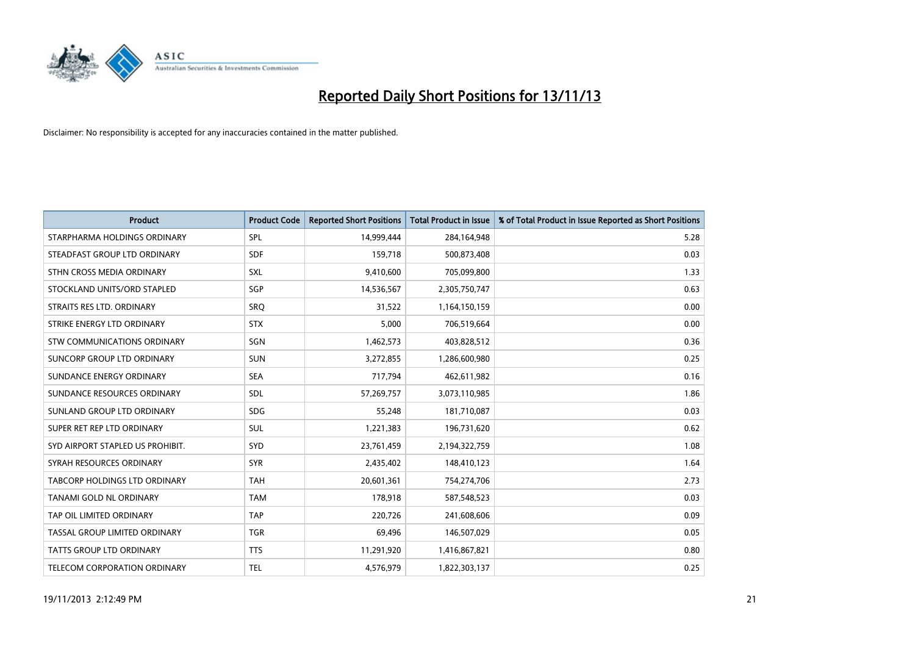

| <b>Product</b>                   | <b>Product Code</b> | <b>Reported Short Positions</b> | <b>Total Product in Issue</b> | % of Total Product in Issue Reported as Short Positions |
|----------------------------------|---------------------|---------------------------------|-------------------------------|---------------------------------------------------------|
| STARPHARMA HOLDINGS ORDINARY     | <b>SPL</b>          | 14,999,444                      | 284,164,948                   | 5.28                                                    |
| STEADFAST GROUP LTD ORDINARY     | <b>SDF</b>          | 159,718                         | 500,873,408                   | 0.03                                                    |
| STHN CROSS MEDIA ORDINARY        | <b>SXL</b>          | 9,410,600                       | 705,099,800                   | 1.33                                                    |
| STOCKLAND UNITS/ORD STAPLED      | SGP                 | 14,536,567                      | 2,305,750,747                 | 0.63                                                    |
| STRAITS RES LTD. ORDINARY        | SRO                 | 31,522                          | 1,164,150,159                 | 0.00                                                    |
| STRIKE ENERGY LTD ORDINARY       | <b>STX</b>          | 5,000                           | 706,519,664                   | 0.00                                                    |
| STW COMMUNICATIONS ORDINARY      | <b>SGN</b>          | 1,462,573                       | 403,828,512                   | 0.36                                                    |
| SUNCORP GROUP LTD ORDINARY       | <b>SUN</b>          | 3,272,855                       | 1,286,600,980                 | 0.25                                                    |
| SUNDANCE ENERGY ORDINARY         | <b>SEA</b>          | 717,794                         | 462,611,982                   | 0.16                                                    |
| SUNDANCE RESOURCES ORDINARY      | <b>SDL</b>          | 57,269,757                      | 3,073,110,985                 | 1.86                                                    |
| SUNLAND GROUP LTD ORDINARY       | <b>SDG</b>          | 55,248                          | 181,710,087                   | 0.03                                                    |
| SUPER RET REP LTD ORDINARY       | <b>SUL</b>          | 1,221,383                       | 196,731,620                   | 0.62                                                    |
| SYD AIRPORT STAPLED US PROHIBIT. | <b>SYD</b>          | 23,761,459                      | 2,194,322,759                 | 1.08                                                    |
| SYRAH RESOURCES ORDINARY         | <b>SYR</b>          | 2,435,402                       | 148,410,123                   | 1.64                                                    |
| TABCORP HOLDINGS LTD ORDINARY    | <b>TAH</b>          | 20,601,361                      | 754,274,706                   | 2.73                                                    |
| TANAMI GOLD NL ORDINARY          | <b>TAM</b>          | 178,918                         | 587,548,523                   | 0.03                                                    |
| TAP OIL LIMITED ORDINARY         | <b>TAP</b>          | 220,726                         | 241,608,606                   | 0.09                                                    |
| TASSAL GROUP LIMITED ORDINARY    | <b>TGR</b>          | 69,496                          | 146,507,029                   | 0.05                                                    |
| <b>TATTS GROUP LTD ORDINARY</b>  | <b>TTS</b>          | 11,291,920                      | 1,416,867,821                 | 0.80                                                    |
| TELECOM CORPORATION ORDINARY     | <b>TEL</b>          | 4,576,979                       | 1,822,303,137                 | 0.25                                                    |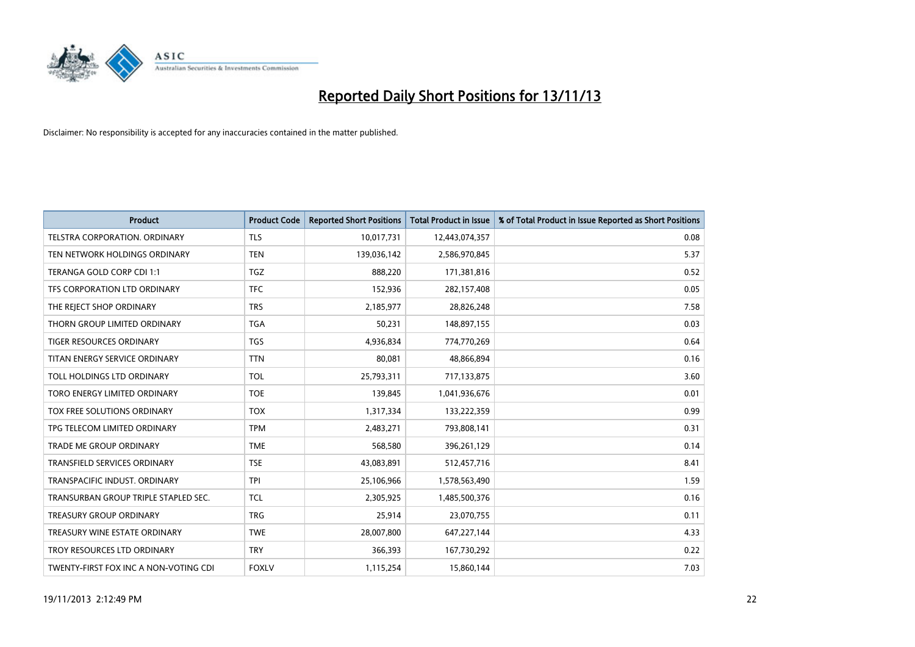

| <b>Product</b>                        | <b>Product Code</b> | <b>Reported Short Positions</b> | <b>Total Product in Issue</b> | % of Total Product in Issue Reported as Short Positions |
|---------------------------------------|---------------------|---------------------------------|-------------------------------|---------------------------------------------------------|
| <b>TELSTRA CORPORATION, ORDINARY</b>  | <b>TLS</b>          | 10,017,731                      | 12,443,074,357                | 0.08                                                    |
| TEN NETWORK HOLDINGS ORDINARY         | <b>TEN</b>          | 139,036,142                     | 2,586,970,845                 | 5.37                                                    |
| TERANGA GOLD CORP CDI 1:1             | <b>TGZ</b>          | 888,220                         | 171,381,816                   | 0.52                                                    |
| TFS CORPORATION LTD ORDINARY          | <b>TFC</b>          | 152,936                         | 282,157,408                   | 0.05                                                    |
| THE REJECT SHOP ORDINARY              | <b>TRS</b>          | 2,185,977                       | 28,826,248                    | 7.58                                                    |
| THORN GROUP LIMITED ORDINARY          | <b>TGA</b>          | 50,231                          | 148,897,155                   | 0.03                                                    |
| TIGER RESOURCES ORDINARY              | <b>TGS</b>          | 4,936,834                       | 774,770,269                   | 0.64                                                    |
| TITAN ENERGY SERVICE ORDINARY         | <b>TTN</b>          | 80,081                          | 48,866,894                    | 0.16                                                    |
| TOLL HOLDINGS LTD ORDINARY            | <b>TOL</b>          | 25,793,311                      | 717,133,875                   | 3.60                                                    |
| TORO ENERGY LIMITED ORDINARY          | <b>TOE</b>          | 139,845                         | 1,041,936,676                 | 0.01                                                    |
| TOX FREE SOLUTIONS ORDINARY           | <b>TOX</b>          | 1,317,334                       | 133,222,359                   | 0.99                                                    |
| TPG TELECOM LIMITED ORDINARY          | <b>TPM</b>          | 2,483,271                       | 793,808,141                   | 0.31                                                    |
| <b>TRADE ME GROUP ORDINARY</b>        | <b>TME</b>          | 568,580                         | 396,261,129                   | 0.14                                                    |
| <b>TRANSFIELD SERVICES ORDINARY</b>   | <b>TSE</b>          | 43,083,891                      | 512,457,716                   | 8.41                                                    |
| TRANSPACIFIC INDUST, ORDINARY         | <b>TPI</b>          | 25,106,966                      | 1,578,563,490                 | 1.59                                                    |
| TRANSURBAN GROUP TRIPLE STAPLED SEC.  | <b>TCL</b>          | 2,305,925                       | 1,485,500,376                 | 0.16                                                    |
| <b>TREASURY GROUP ORDINARY</b>        | <b>TRG</b>          | 25,914                          | 23,070,755                    | 0.11                                                    |
| TREASURY WINE ESTATE ORDINARY         | <b>TWE</b>          | 28,007,800                      | 647,227,144                   | 4.33                                                    |
| TROY RESOURCES LTD ORDINARY           | <b>TRY</b>          | 366,393                         | 167,730,292                   | 0.22                                                    |
| TWENTY-FIRST FOX INC A NON-VOTING CDI | <b>FOXLV</b>        | 1,115,254                       | 15,860,144                    | 7.03                                                    |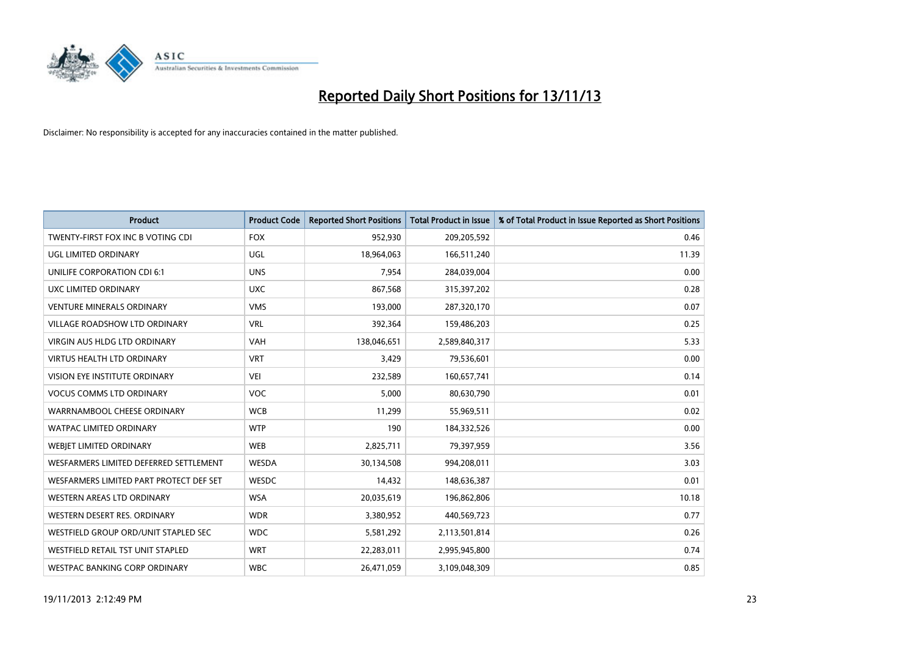

| <b>Product</b>                          | <b>Product Code</b> | <b>Reported Short Positions</b> | <b>Total Product in Issue</b> | % of Total Product in Issue Reported as Short Positions |
|-----------------------------------------|---------------------|---------------------------------|-------------------------------|---------------------------------------------------------|
| TWENTY-FIRST FOX INC B VOTING CDI       | <b>FOX</b>          | 952,930                         | 209,205,592                   | 0.46                                                    |
| UGL LIMITED ORDINARY                    | UGL                 | 18,964,063                      | 166,511,240                   | 11.39                                                   |
| UNILIFE CORPORATION CDI 6:1             | <b>UNS</b>          | 7,954                           | 284,039,004                   | 0.00                                                    |
| UXC LIMITED ORDINARY                    | <b>UXC</b>          | 867,568                         | 315,397,202                   | 0.28                                                    |
| <b>VENTURE MINERALS ORDINARY</b>        | <b>VMS</b>          | 193,000                         | 287,320,170                   | 0.07                                                    |
| <b>VILLAGE ROADSHOW LTD ORDINARY</b>    | <b>VRL</b>          | 392,364                         | 159,486,203                   | 0.25                                                    |
| <b>VIRGIN AUS HLDG LTD ORDINARY</b>     | <b>VAH</b>          | 138,046,651                     | 2,589,840,317                 | 5.33                                                    |
| <b>VIRTUS HEALTH LTD ORDINARY</b>       | <b>VRT</b>          | 3,429                           | 79,536,601                    | 0.00                                                    |
| VISION EYE INSTITUTE ORDINARY           | <b>VEI</b>          | 232,589                         | 160,657,741                   | 0.14                                                    |
| <b>VOCUS COMMS LTD ORDINARY</b>         | <b>VOC</b>          | 5,000                           | 80,630,790                    | 0.01                                                    |
| WARRNAMBOOL CHEESE ORDINARY             | <b>WCB</b>          | 11,299                          | 55,969,511                    | 0.02                                                    |
| <b>WATPAC LIMITED ORDINARY</b>          | <b>WTP</b>          | 190                             | 184,332,526                   | 0.00                                                    |
| WEBIET LIMITED ORDINARY                 | <b>WEB</b>          | 2,825,711                       | 79,397,959                    | 3.56                                                    |
| WESFARMERS LIMITED DEFERRED SETTLEMENT  | WESDA               | 30,134,508                      | 994,208,011                   | 3.03                                                    |
| WESFARMERS LIMITED PART PROTECT DEF SET | WESDC               | 14,432                          | 148,636,387                   | 0.01                                                    |
| WESTERN AREAS LTD ORDINARY              | <b>WSA</b>          | 20,035,619                      | 196,862,806                   | 10.18                                                   |
| WESTERN DESERT RES. ORDINARY            | <b>WDR</b>          | 3,380,952                       | 440,569,723                   | 0.77                                                    |
| WESTFIELD GROUP ORD/UNIT STAPLED SEC    | <b>WDC</b>          | 5,581,292                       | 2,113,501,814                 | 0.26                                                    |
| WESTFIELD RETAIL TST UNIT STAPLED       | <b>WRT</b>          | 22,283,011                      | 2,995,945,800                 | 0.74                                                    |
| WESTPAC BANKING CORP ORDINARY           | <b>WBC</b>          | 26,471,059                      | 3,109,048,309                 | 0.85                                                    |